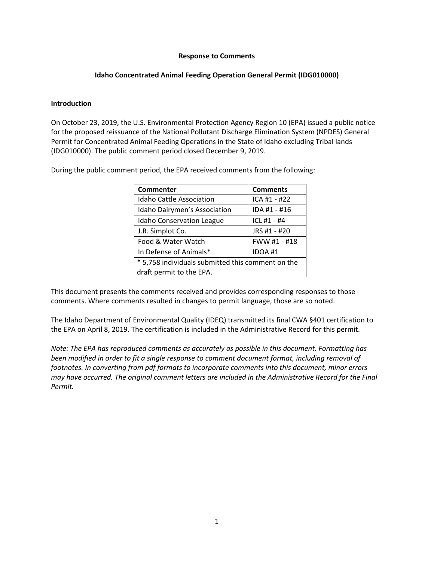### **Response to Comments**

## **Idaho Concentrated Animal Feeding Operation General Permit (IDG010000)**

### **Introduction**

On October 23, 2019, the U.S. Environmental Protection Agency Region 10 (EPA) issued a public notice for the proposed reissuance of the National Pollutant Discharge Elimination System (NPDES) General Permit for Concentrated Animal Feeding Operations in the State of Idaho excluding Tribal lands (IDG010000). The public comment period closed December 9, 2019.

During the public comment period, the EPA received comments from the following:

| Commenter                                         | <b>Comments</b> |
|---------------------------------------------------|-----------------|
| <b>Idaho Cattle Association</b>                   | ICA #1 - #22    |
| Idaho Dairymen's Association                      | IDA #1 - #16    |
| <b>Idaho Conservation League</b>                  | ICL #1 - #4     |
| J.R. Simplot Co.                                  | JRS #1 - #20    |
| Food & Water Watch                                | FWW #1 - #18    |
| In Defense of Animals*                            | IDOA #1         |
| * 5,758 individuals submitted this comment on the |                 |
| draft permit to the EPA.                          |                 |

This document presents the comments received and provides corresponding responses to those comments. Where comments resulted in changes to permit language, those are so noted.

The Idaho Department of Environmental Quality (IDEQ) transmitted its final CWA §401 certification to the EPA on April 8, 2019. The certification is included in the Administrative Record for this permit.

*Note: The EPA has reproduced comments as accurately as possible in this document. Formatting has been modified in order to fit a single response to comment document format, including removal of footnotes. In converting from pdf formats to incorporate comments into this document, minor errors may have occurred. The original comment letters are included in the Administrative Record for the Final Permit.*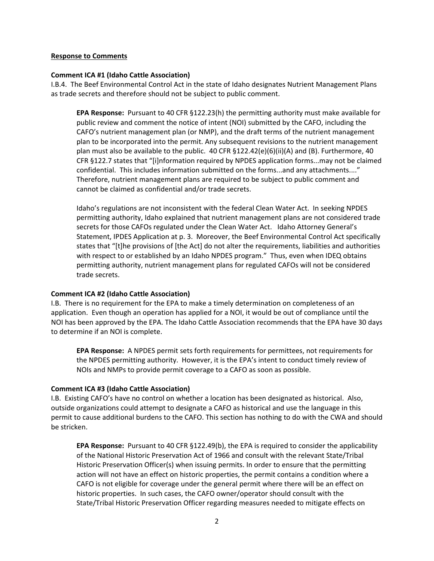#### **Response to Comments**

### **Comment ICA #1 (Idaho Cattle Association)**

I.B.4. The Beef Environmental Control Act in the state of Idaho designates Nutrient Management Plans as trade secrets and therefore should not be subject to public comment.

**EPA Response:** Pursuant to 40 CFR §122.23(h) the permitting authority must make available for public review and comment the notice of intent (NOI) submitted by the CAFO, including the CAFO's nutrient management plan (or NMP), and the draft terms of the nutrient management plan to be incorporated into the permit. Any subsequent revisions to the nutrient management plan must also be available to the public. 40 CFR §122.42(e)(6)(ii)(A) and (B). Furthermore, 40 CFR §122.7 states that "[i]nformation required by NPDES application forms...may not be claimed confidential. This includes information submitted on the forms...and any attachments...." Therefore, nutrient management plans are required to be subject to public comment and cannot be claimed as confidential and/or trade secrets.

Idaho's regulations are not inconsistent with the federal Clean Water Act. In seeking NPDES permitting authority, Idaho explained that nutrient management plans are not considered trade secrets for those CAFOs regulated under the Clean Water Act. Idaho Attorney General's Statement, IPDES Application at p. 3. Moreover, the Beef Environmental Control Act specifically states that "[t]he provisions of [the Act] do not alter the requirements, liabilities and authorities with respect to or established by an Idaho NPDES program." Thus, even when IDEQ obtains permitting authority, nutrient management plans for regulated CAFOs will not be considered trade secrets.

## **Comment ICA #2 (Idaho Cattle Association)**

I.B. There is no requirement for the EPA to make a timely determination on completeness of an application. Even though an operation has applied for a NOI, it would be out of compliance until the NOI has been approved by the EPA. The Idaho Cattle Association recommends that the EPA have 30 days to determine if an NOI is complete.

**EPA Response:** A NPDES permit sets forth requirements for permittees, not requirements for the NPDES permitting authority. However, it is the EPA's intent to conduct timely review of NOIs and NMPs to provide permit coverage to a CAFO as soon as possible.

## **Comment ICA #3 (Idaho Cattle Association)**

I.B. Existing CAFO's have no control on whether a location has been designated as historical. Also, outside organizations could attempt to designate a CAFO as historical and use the language in this permit to cause additional burdens to the CAFO. This section has nothing to do with the CWA and should be stricken.

**EPA Response:** Pursuant to 40 CFR §122.49(b), the EPA is required to consider the applicability of the National Historic Preservation Act of 1966 and consult with the relevant State/Tribal Historic Preservation Officer(s) when issuing permits. In order to ensure that the permitting action will not have an effect on historic properties, the permit contains a condition where a CAFO is not eligible for coverage under the general permit where there will be an effect on historic properties. In such cases, the CAFO owner/operator should consult with the State/Tribal Historic Preservation Officer regarding measures needed to mitigate effects on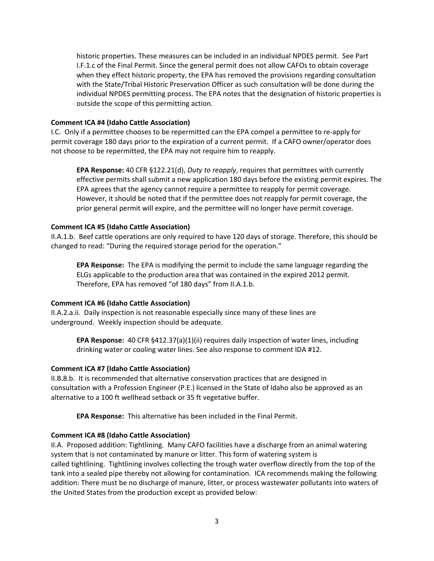historic properties. These measures can be included in an individual NPDES permit. See Part I.F.1.c of the Final Permit. Since the general permit does not allow CAFOs to obtain coverage when they effect historic property, the EPA has removed the provisions regarding consultation with the State/Tribal Historic Preservation Officer as such consultation will be done during the individual NPDES permitting process. The EPA notes that the designation of historic properties is outside the scope of this permitting action.

## **Comment ICA #4 (Idaho Cattle Association)**

I.C. Only if a permittee chooses to be repermitted can the EPA compel a permittee to re-apply for permit coverage 180 days prior to the expiration of a current permit. If a CAFO owner/operator does not choose to be repermitted, the EPA may not require him to reapply.

**EPA Response:** 40 CFR §122.21(d), *Duty to reapply*, requires that permittees with currently effective permits shall submit a new application 180 days before the existing permit expires. The EPA agrees that the agency cannot require a permittee to reapply for permit coverage. However, it should be noted that if the permittee does not reapply for permit coverage, the prior general permit will expire, and the permittee will no longer have permit coverage.

# **Comment ICA #5 (Idaho Cattle Association)**

II.A.1.b. Beef cattle operations are only required to have 120 days of storage. Therefore, this should be changed to read: "During the required storage period for the operation."

**EPA Response:** The EPA is modifying the permit to include the same language regarding the ELGs applicable to the production area that was contained in the expired 2012 permit. Therefore, EPA has removed "of 180 days" from II.A.1.b.

## **Comment ICA #6 (Idaho Cattle Association)**

II.A.2.a.ii. Daily inspection is not reasonable especially since many of these lines are underground. Weekly inspection should be adequate.

**EPA Response:** 40 CFR §412.37(a)(1)(ii) requires daily inspection of water lines, including drinking water or cooling water lines. See also response to comment IDA #12.

## **Comment ICA #7 (Idaho Cattle Association)**

II.B.8.b. It is recommended that alternative conservation practices that are designed in consultation with a Profession Engineer (P.E.) licensed in the State of Idaho also be approved as an alternative to a 100 ft wellhead setback or 35 ft vegetative buffer.

**EPA Response:** This alternative has been included in the Final Permit.

# **Comment ICA #8 (Idaho Cattle Association)**

II.A. Proposed addition: Tightlining. Many CAFO facilities have a discharge from an animal watering system that is not contaminated by manure or litter. This form of watering system is called tightlining. Tightlining involves collecting the trough water overflow directly from the top of the tank into a sealed pipe thereby not allowing for contamination. ICA recommends making the following addition: There must be no discharge of manure, litter, or process wastewater pollutants into waters of the United States from the production except as provided below: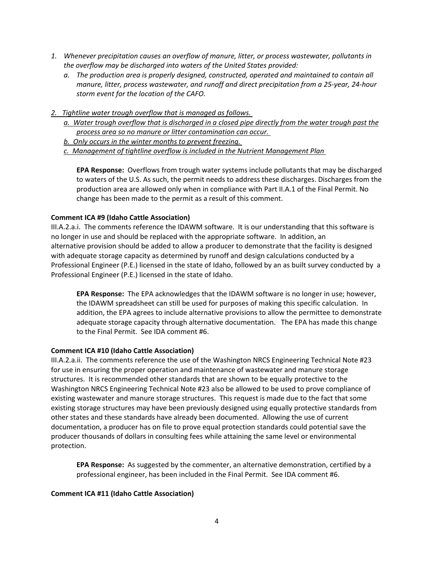- *1. Whenever precipitation causes an overflow of manure, litter, or process wastewater, pollutants in the overflow may be discharged into waters of the United States provided:*
	- *a. The production area is properly designed, constructed, operated and maintained to contain all manure, litter, process wastewater, and runoff and direct precipitation from a 25-year, 24-hour storm event for the location of the CAFO.*
- *2. Tightline water trough overflow that is managed as follows.*
	- *a. Water trough overflow that is discharged in a closed pipe directly from the water trough past the process area so no manure or litter contamination can occur.*
	- *b. Only occurs in the winter months to prevent freezing.*
	- *c. Management of tightline overflow is included in the Nutrient Management Plan*

**EPA Response:** Overflows from trough water systems include pollutants that may be discharged to waters of the U.S. As such, the permit needs to address these discharges. Discharges from the production area are allowed only when in compliance with Part II.A.1 of the Final Permit. No change has been made to the permit as a result of this comment.

### **Comment ICA #9 (Idaho Cattle Association)**

III.A.2.a.i. The comments reference the IDAWM software. It is our understanding that this software is no longer in use and should be replaced with the appropriate software. In addition, an alternative provision should be added to allow a producer to demonstrate that the facility is designed with adequate storage capacity as determined by runoff and design calculations conducted by a Professional Engineer (P.E.) licensed in the state of Idaho, followed by an as built survey conducted by a Professional Engineer (P.E.) licensed in the state of Idaho.

**EPA Response:** The EPA acknowledges that the IDAWM software is no longer in use; however, the IDAWM spreadsheet can still be used for purposes of making this specific calculation. In addition, the EPA agrees to include alternative provisions to allow the permittee to demonstrate adequate storage capacity through alternative documentation. The EPA has made this change to the Final Permit. See IDA comment #6.

#### **Comment ICA #10 (Idaho Cattle Association)**

III.A.2.a.ii. The comments reference the use of the Washington NRCS Engineering Technical Note #23 for use in ensuring the proper operation and maintenance of wastewater and manure storage structures. It is recommended other standards that are shown to be equally protective to the Washington NRCS Engineering Technical Note #23 also be allowed to be used to prove compliance of existing wastewater and manure storage structures. This request is made due to the fact that some existing storage structures may have been previously designed using equally protective standards from other states and these standards have already been documented. Allowing the use of current documentation, a producer has on file to prove equal protection standards could potential save the producer thousands of dollars in consulting fees while attaining the same level or environmental protection.

**EPA Response:** As suggested by the commenter, an alternative demonstration, certified by a professional engineer, has been included in the Final Permit. See IDA comment #6.

## **Comment ICA #11 (Idaho Cattle Association)**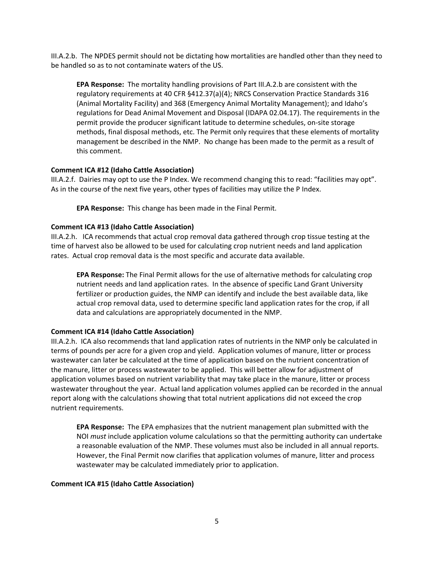III.A.2.b. The NPDES permit should not be dictating how mortalities are handled other than they need to be handled so as to not contaminate waters of the US.

**EPA Response:** The mortality handling provisions of Part III.A.2.b are consistent with the regulatory requirements at 40 CFR §412.37(a)(4); NRCS Conservation Practice Standards 316 (Animal Mortality Facility) and 368 (Emergency Animal Mortality Management); and Idaho's regulations for Dead Animal Movement and Disposal (IDAPA 02.04.17). The requirements in the permit provide the producer significant latitude to determine schedules, on-site storage methods, final disposal methods, etc. The Permit only requires that these elements of mortality management be described in the NMP. No change has been made to the permit as a result of this comment.

## **Comment ICA #12 (Idaho Cattle Association)**

III.A.2.f. Dairies may opt to use the P Index. We recommend changing this to read: "facilities may opt". As in the course of the next five years, other types of facilities may utilize the P Index.

**EPA Response:** This change has been made in the Final Permit.

### **Comment ICA #13 (Idaho Cattle Association)**

III.A.2.h. ICA recommends that actual crop removal data gathered through crop tissue testing at the time of harvest also be allowed to be used for calculating crop nutrient needs and land application rates. Actual crop removal data is the most specific and accurate data available.

**EPA Response:** The Final Permit allows for the use of alternative methods for calculating crop nutrient needs and land application rates. In the absence of specific Land Grant University fertilizer or production guides, the NMP can identify and include the best available data, like actual crop removal data, used to determine specific land application rates for the crop, if all data and calculations are appropriately documented in the NMP.

## **Comment ICA #14 (Idaho Cattle Association)**

III.A.2.h. ICA also recommends that land application rates of nutrients in the NMP only be calculated in terms of pounds per acre for a given crop and yield. Application volumes of manure, litter or process wastewater can later be calculated at the time of application based on the nutrient concentration of the manure, litter or process wastewater to be applied. This will better allow for adjustment of application volumes based on nutrient variability that may take place in the manure, litter or process wastewater throughout the year. Actual land application volumes applied can be recorded in the annual report along with the calculations showing that total nutrient applications did not exceed the crop nutrient requirements.

**EPA Response:** The EPA emphasizes that the nutrient management plan submitted with the NOI *must* include application volume calculations so that the permitting authority can undertake a reasonable evaluation of the NMP. These volumes must also be included in all annual reports. However, the Final Permit now clarifies that application volumes of manure, litter and process wastewater may be calculated immediately prior to application.

#### **Comment ICA #15 (Idaho Cattle Association)**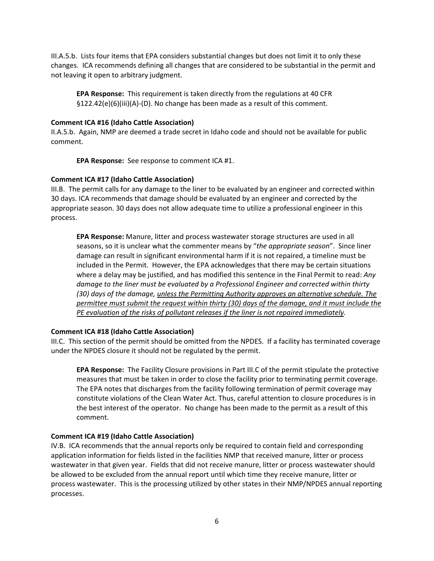III.A.5.b. Lists four items that EPA considers substantial changes but does not limit it to only these changes. ICA recommends defining all changes that are considered to be substantial in the permit and not leaving it open to arbitrary judgment.

**EPA Response:** This requirement is taken directly from the regulations at 40 CFR §122.42(e)(6)(iii)(A)-(D). No change has been made as a result of this comment.

## **Comment ICA #16 (Idaho Cattle Association)**

II.A.5.b. Again, NMP are deemed a trade secret in Idaho code and should not be available for public comment.

**EPA Response:** See response to comment ICA #1.

# **Comment ICA #17 (Idaho Cattle Association)**

III.B. The permit calls for any damage to the liner to be evaluated by an engineer and corrected within 30 days. ICA recommends that damage should be evaluated by an engineer and corrected by the appropriate season. 30 days does not allow adequate time to utilize a professional engineer in this process.

**EPA Response:** Manure, litter and process wastewater storage structures are used in all seasons, so it is unclear what the commenter means by "*the appropriate season*". Since liner damage can result in significant environmental harm if it is not repaired, a timeline must be included in the Permit. However, the EPA acknowledges that there may be certain situations where a delay may be justified, and has modified this sentence in the Final Permit to read: *Any damage to the liner must be evaluated by a Professional Engineer and corrected within thirty (30) days of the damage, unless the Permitting Authority approves an alternative schedule. The permittee must submit the request within thirty (30) days of the damage, and it must include the PE evaluation of the risks of pollutant releases if the liner is not repaired immediately.*

## **Comment ICA #18 (Idaho Cattle Association)**

III.C. This section of the permit should be omitted from the NPDES. If a facility has terminated coverage under the NPDES closure it should not be regulated by the permit.

**EPA Response:** The Facility Closure provisions in Part III.C of the permit stipulate the protective measures that must be taken in order to close the facility prior to terminating permit coverage. The EPA notes that discharges from the facility following termination of permit coverage may constitute violations of the Clean Water Act. Thus, careful attention to closure procedures is in the best interest of the operator. No change has been made to the permit as a result of this comment.

# **Comment ICA #19 (Idaho Cattle Association)**

IV.B. ICA recommends that the annual reports only be required to contain field and corresponding application information for fields listed in the facilities NMP that received manure, litter or process wastewater in that given year. Fields that did not receive manure, litter or process wastewater should be allowed to be excluded from the annual report until which time they receive manure, litter or process wastewater. This is the processing utilized by other states in their NMP/NPDES annual reporting processes.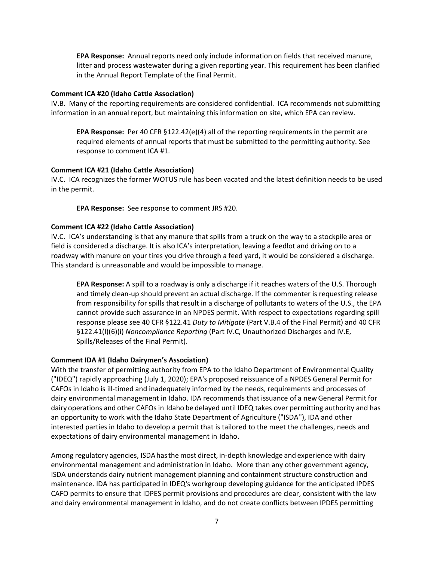**EPA Response:** Annual reports need only include information on fields that received manure, litter and process wastewater during a given reporting year. This requirement has been clarified in the Annual Report Template of the Final Permit.

#### **Comment ICA #20 (Idaho Cattle Association)**

IV.B. Many of the reporting requirements are considered confidential. ICA recommends not submitting information in an annual report, but maintaining this information on site, which EPA can review.

**EPA Response:** Per 40 CFR §122.42(e)(4) all of the reporting requirements in the permit are required elements of annual reports that must be submitted to the permitting authority. See response to comment ICA #1.

### **Comment ICA #21 (Idaho Cattle Association)**

IV.C. ICA recognizes the former WOTUS rule has been vacated and the latest definition needs to be used in the permit.

**EPA Response:** See response to comment JRS #20.

### **Comment ICA #22 (Idaho Cattle Association)**

IV.C. ICA's understanding is that any manure that spills from a truck on the way to a stockpile area or field is considered a discharge. It is also ICA's interpretation, leaving a feedlot and driving on to a roadway with manure on your tires you drive through a feed yard, it would be considered a discharge. This standard is unreasonable and would be impossible to manage.

**EPA Response:** A spill to a roadway is only a discharge if it reaches waters of the U.S. Thorough and timely clean-up should prevent an actual discharge. If the commenter is requesting release from responsibility for spills that result in a discharge of pollutants to waters of the U.S., the EPA cannot provide such assurance in an NPDES permit. With respect to expectations regarding spill response please see 40 CFR §122.41 *Duty to Mitigate* (Part V.B.4 of the Final Permit) and 40 CFR §122.41(l)(6)(i) *Noncompliance Reporting* (Part IV.C, Unauthorized Discharges and IV.E, Spills/Releases of the Final Permit).

#### <span id="page-6-0"></span>**Comment IDA #1 (Idaho Dairymen's Association)**

With the transfer of permitting authority from EPA to the Idaho Department of Environmental Quality ("IDEQ") rapidly approaching (July 1, 2020); EPA's proposed reissuance of a NPDES General Permit for CAFOs in Idaho is ill-timed and inadequately informed by the needs, requirements and processes of dairy environmental management in Idaho. IDA recommends that issuance of a new General Permit for dairy operations and other CAFOs in Idaho be delayed until IDEQ takes over permitting authority and has an opportunity to work with the Idaho State Department of Agriculture ("ISDA''), IDA and other interested parties in Idaho to develop a permit that is tailored to the meet the challenges, needs and expectations of dairy environmental management in Idaho.

Among regulatory agencies, ISDAhasthe most direct, in-depth knowledge and experience with dairy environmental management and administration in Idaho. More than any other government agency, ISDA understands dairy nutrient management planning and containment structure construction and maintenance. IDA has participated in IDEQ's workgroup developing guidance for the anticipated IPDES CAFO permits to ensure that IDPES permit provisions and procedures are clear, consistent with the law and dairy environmental management in Idaho, and do not create conflicts between IPDES permitting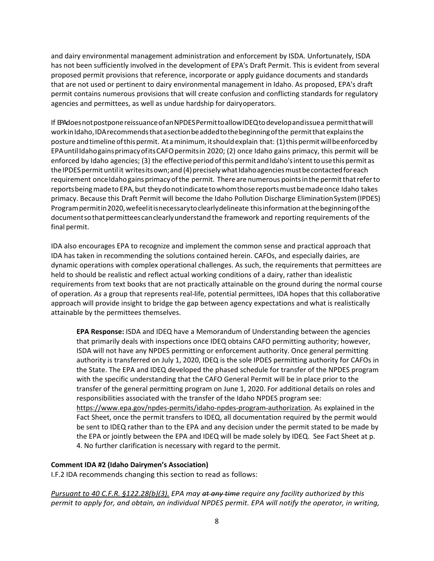and dairy environmental management administration and enforcement by ISDA. Unfortunately, ISDA has not been sufficiently involved in the development of EPA's Draft Permit. This is evident from several proposed permit provisions that reference, incorporate or apply guidance documents and standards that are not used or pertinent to dairy environmental management in Idaho. As proposed, EPA's draft permit contains numerous provisions that will create confusion and conflicting standards for regulatory agencies and permittees, as well as undue hardship for dairyoperators.

If EPAdoesnotpostponereissuanceofanNPDESPermittoallowIDEQtodevelopandissuea permitthatwill workinIdaho,IDA recommends that a section beadded to the beginning of the permit that explains the posture and timeline of this permit. At a minimum, it should explain that: (1) this permit will be enforced by EPAuntilIdahogainsprimacyofitsCAFOpermitsin 2020; (2) once Idaho gains primacy, this permit will be enforced by Idaho agencies; (3) the effective period of this permit and Idaho's intent to use this permit as the IPDES permit until it writesits own; and (4) precisely what Idaho agencies must be contacted for each requirement once Idahogains primacy of the permit. There are numerous points in the permit that refer to reportsbeingmadeto EPA,but theydonotindicatetowhomthosereportsmustbemadeonce Idaho takes primacy. Because this Draft Permit will become the Idaho Pollution Discharge EliminationSystem(IPDES) Programpermitin2020,wefeelitisnecessarytoclearlydelineate thisinformationatthebeginningofthe documentso that permittees can clearly understand the framework and reporting requirements of the final permit.

IDA also encourages EPA to recognize and implement the common sense and practical approach that IDA has taken in recommending the solutions contained herein. CAFOs, and especially dairies, are dynamic operations with complex operational challenges. As such, the requirements that permittees are held to should be realistic and reflect actual working conditions of a dairy, rather than idealistic requirements from text books that are not practically attainable on the ground during the normal course of operation. *As* a group that represents real-life, potential permittees, IDA hopes that this collaborative approach will provide insight to bridge the gap between agency expectations and what is realistically attainable by the permittees themselves.

**EPA Response:** ISDA and IDEQ have a Memorandum of Understanding between the agencies that primarily deals with inspections once IDEQ obtains CAFO permitting authority; however, ISDA will not have any NPDES permitting or enforcement authority. Once general permitting authority is transferred on July 1, 2020, IDEQ is the sole IPDES permitting authority for CAFOs in the State. The EPA and IDEQ developed the phased schedule for transfer of the NPDES program with the specific understanding that the CAFO General Permit will be in place prior to the transfer of the general permitting program on June 1, 2020. For additional details on roles and responsibilities associated with the transfer of the Idaho NPDES program see: [https://www.epa.gov/npdes-permits/idaho-npdes-program-authorization.](https://www.epa.gov/npdes-permits/idaho-npdes-program-authorization) As explained in the Fact Sheet, once the permit transfers to IDEQ, all documentation required by the permit would be sent to IDEQ rather than to the EPA and any decision under the permit stated to be made by the EPA or jointly between the EPA and IDEQ will be made solely by IDEQ. See Fact Sheet at p. 4. No further clarification is necessary with regard to the permit.

## **Comment IDA #2 (Idaho Dairymen's Association)**

I.F.2 IDA recommends changing this section to read as follows:

*Pursuant to 40 C.F.R. §122.28(b)(3). EPA may at any time require any facility authorized by this permit to apply for, and obtain, an individual NPDES permit. EPA will notify the operator, in writing,*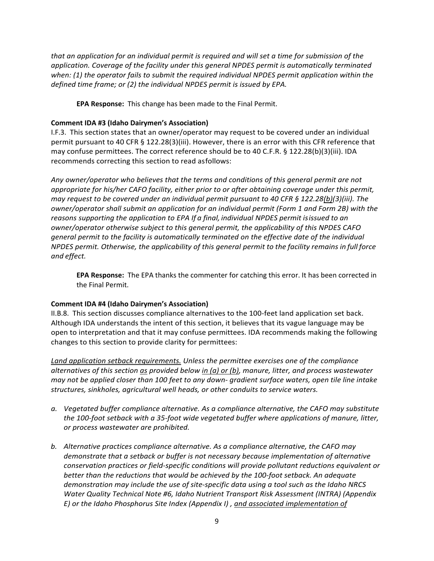*that an application for an individual permit is required and will set a time for submission of the application. Coverage of the facility under this general NPDES permit is automatically terminated when: (1) the operator fails to submit the required individual NPDES permit application within the defined time frame; or (2) the individual NPDES permit is issued by EPA.*

**EPA Response:** This change has been made to the Final Permit.

# **Comment IDA #3 (Idaho Dairymen's Association)**

I.F.3. This section states that an owner/operator may request to be covered under an individual permit pursuant to 40 CFR § 122.28(3)(iii). However, there is an error with this CFR reference that may confuse permittees. The correct reference should be to 40 C.F.R. § 122.28(b)(3)(iii). IDA recommends correcting this section to read asfollows:

*Any owner/operator who believes that the terms and conditions of this general permit are not appropriate for his/her CAFO facility, either prior to or after obtaining coverage under this permit, may request to be covered under an individual permit pursuant to 40 CFR § 122.28(b)(3)(iii). The owner/operator shall submit an application for an individual permit (Form 1 and Form 2B) with the reasons supporting the application to EPA If a final, individual NPDES permit isissued to an owner/operator otherwise subject to this general permit, the applicability of this NPDES CAFO general permit to the facility is automatically terminated on the effective date of the individual NPDES permit. Otherwise, the applicability of this general permit to the facility remains in full force and effect.*

**EPA Response:** The EPA thanks the commenter for catching this error. It has been corrected in the Final Permit.

## **Comment IDA #4 (Idaho Dairymen's Association)**

II.B.8. This section discusses compliance alternatives to the 100-feet land application set back. Although IDA understands the intent of this section, it believes that its vague language may be open to interpretation and that it may confuse permittees. IDA recommends making the following changes to this section to provide clarity for permittees:

*Land application setback requirements. Unless the permittee exercises one of the compliance alternatives of this section as provided below in (a) or (b), manure, litter, and process wastewater may not be applied closer than 100 feet to any down- gradient surface waters, open tile line intake structures, sinkholes, agricultural well heads, or other conduits to service waters.*

- *a. Vegetated buffer compliance alternative. As a compliance alternative, the CAFO may substitute the 100-foot setback with a 35-foot wide vegetated buffer where applications of manure, litter, or process wastewater are prohibited.*
- *b. Alternative practices compliance alternative. As a compliance alternative, the CAFO may demonstrate that a setback or buffer is not necessary because implementation of alternative conservation practices or field-specific conditions will provide pollutant reductions equivalent or better than the reductions that would be achieved by the 100-foot setback. An adequate demonstration may include the use of site-specific data using a tool such as the Idaho NRCS Water Quality Technical Note #6, Idaho Nutrient Transport Risk Assessment (INTRA) (Appendix E) or the Idaho Phosphorus Site Index (Appendix I) , and associated implementation of*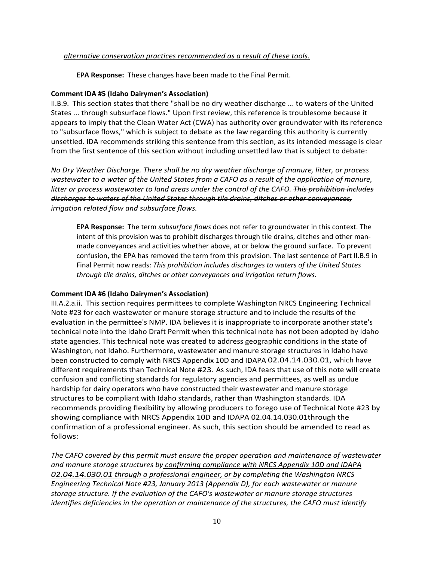### *alternative conservation practices recommended as a result of these tools.*

**EPA Response:** These changes have been made to the Final Permit.

### **Comment IDA #5 (Idaho Dairymen's Association)**

II.B.9. This section states that there "shall be no dry weather discharge ... to waters of the United States ... through subsurface flows." Upon first review, this reference is troublesome because it appears to imply that the Clean Water Act (CWA) has authority over groundwater with its reference to "subsurface flows," which is subject to debate as the law regarding this authority is currently unsettled. IDA recommends striking this sentence from this section, as its intended message is clear from the first sentence of this section without including unsettled law that is subject to debate:

*No Dry Weather Discharge. There shall be no dry weather discharge of manure, litter, or process wastewater to a water of the United States from a CAFO as a result of the application of manure, litter or process wastewater to land areas under the control of the CAFO. This prohibition includes discharges to waters of the United States through tile drains, ditches or other conveyances, irrigation related flow and subsurface flows.*

**EPA Response:** The term *subsurface flows* does not refer to groundwater in this context. The intent of this provision was to prohibit discharges through tile drains, ditches and other manmade conveyances and activities whether above, at or below the ground surface. To prevent confusion, the EPA has removed the term from this provision. The last sentence of Part II.B.9 in Final Permit now reads: *This prohibition includes discharges to waters of the United States through tile drains, ditches or other conveyances and irrigation return flows.*

## **Comment IDA #6 (Idaho Dairymen's Association)**

III.A.2.a.ii. This section requires permittees to complete Washington NRCS Engineering Technical Note #23 for each wastewater or manure storage structure and to include the results of the evaluation in the permittee's NMP. IDA believes it is inappropriate to incorporate another state's technical note into the Idaho Draft Permit when this technical note has not been adopted by Idaho state agencies. This technical note was created to address geographic conditions in the state of Washington, not Idaho. Furthermore, wastewater and manure storage structures in Idaho have been constructed to comply with NRCS Appendix 10D and IDAPA 02.04.14.030.01, which have different requirements than Technical Note #23. As such, IDA fears that use of this note will create confusion and conflicting standards for regulatory agencies and permittees, as well as undue hardship for dairy operators who have constructed their wastewater and manure storage structures to be compliant with Idaho standards, rather than Washington standards. IDA recommends providing flexibility by allowing producers to forego use of Technical Note #23 by showing compliance with NRCS Appendix 10D and IDAPA 02.04.14.030.01through the confirmation of a professional engineer. As such, this section should be amended to read as follows:

*The CAFO covered by this permit must ensure the proper operation and maintenance of wastewater and manure storage structures by confirming compliance with NRCS Appendix 10D and IDAPA 02.04.14.030.01 through a professional engineer, or by completing the Washington NRCS Engineering Technical Note #23, January 2013 (Appendix D), for each wastewater or manure storage structure. If the evaluation of the CAFO's wastewater or manure storage structures identifies deficiencies in the operation or maintenance of the structures, the CAFO must identify*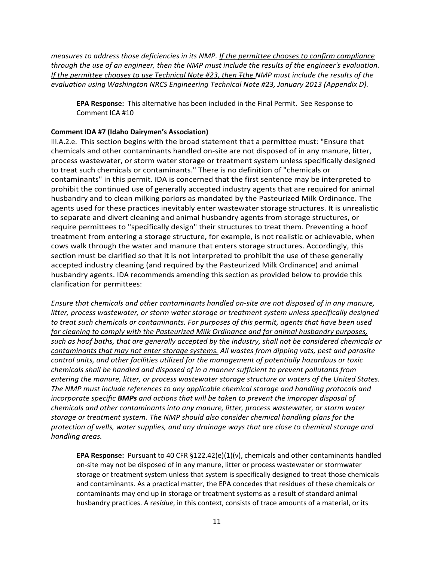*measures to address those deficiencies in its NMP. If the permittee chooses to confirm compliance through the use of an engineer, then the NMP must include the results of the engineer's evaluation. If the permittee chooses to use Technical Note #23, then Tthe NMP must include the results of the evaluation using Washington NRCS Engineering Technical Note #23, January 2013 (Appendix D).*

**EPA Response:** This alternative has been included in the Final Permit. See Response to Comment ICA #10

## **Comment IDA #7 (Idaho Dairymen's Association)**

III.A.2.e. This section begins with the broad statement that a permittee must: "Ensure that chemicals and other contaminants handled on-site are not disposed of in any manure, litter, process wastewater, or storm water storage or treatment system unless specifically designed to treat such chemicals or contaminants." There is no definition of "chemicals or contaminants" in this permit. IDA is concerned that the first sentence may be interpreted to prohibit the continued use of generally accepted industry agents that are required for animal husbandry and to clean milking parlors as mandated by the Pasteurized Milk Ordinance. The agents used for these practices inevitably enter wastewater storage structures. It is unrealistic to separate and divert cleaning and animal husbandry agents from storage structures, or require permittees to "specifically design" their structures to treat them. Preventing a hoof treatment from entering a storage structure, for example, is not realistic or achievable, when cows walk through the water and manure that enters storage structures. Accordingly, this section must be clarified so that it is not interpreted to prohibit the use of these generally accepted industry cleaning (and required by the Pasteurized Milk Ordinance) and animal husbandry agents. IDA recommends amending this section as provided below to provide this clarification for permittees:

*Ensure that chemicals and other contaminants handled on-site are not disposed of in any manure, litter, process wastewater, or storm water storage or treatment system unless specifically designed to treat such chemicals or contaminants. For purposes of this permit, agents that have been used for cleaning to comply with the Pasteurized Milk Ordinance and for animal husbandry purposes, such as hoof baths, that are generally accepted by the industry, shall not be considered chemicals or contaminants that may not enter storage systems. All wastes from dipping vats, pest and parasite control units, and other facilities utilized for the management of potentially hazardous or toxic chemicals shall be handled and disposed of in a manner sufficient to prevent pollutants from entering the manure, litter, or process wastewater storage structure or waters of the United States. The NMP must include references to any applicable chemical storage and handling protocols and incorporate specific BMPs and actions that will be taken to prevent the improper disposal of chemicals and other contaminants into any manure, litter, process wastewater, or storm water storage or treatment system. The NMP should also consider chemical handling plans for the protection of wells, water supplies, and any drainage ways that are close to chemical storage and handling areas.*

**EPA Response:** Pursuant to 40 CFR §122.42(e)(1)(v), chemicals and other contaminants handled on-site may not be disposed of in any manure, litter or process wastewater or stormwater storage or treatment system unless that system is specifically designed to treat those chemicals and contaminants. As a practical matter, the EPA concedes that residues of these chemicals or contaminants may end up in storage or treatment systems as a result of standard animal husbandry practices. A r*esidue*, in this context, consists of trace amounts of a material, or its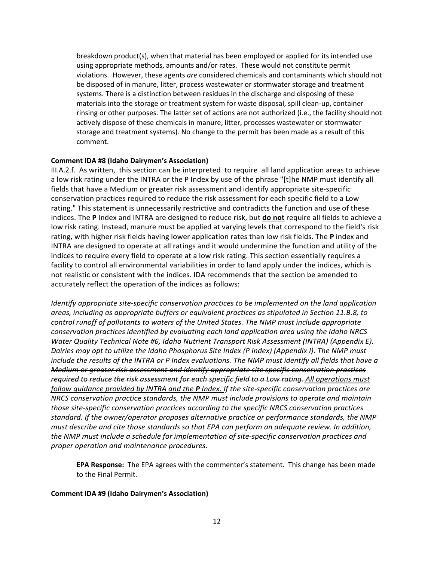breakdown product(s), when that material has been employed or applied for its intended use using appropriate methods, amounts and/or rates. These would not constitute permit violations. However, these agents *are* considered chemicals and contaminants which should not be disposed of in manure, litter, process wastewater or stormwater storage and treatment systems. There is a distinction between residues in the discharge and disposing of these materials into the storage or treatment system for waste disposal, spill clean-up, container rinsing or other purposes. The latter set of actions are not authorized (i.e., the facility should not actively dispose of these chemicals in manure, litter, processes wastewater or stormwater storage and treatment systems). No change to the permit has been made as a result of this comment.

### **Comment IDA #8 (Idaho Dairymen's Association)**

III.A.2.f. As written, this section can be interpreted to require all land application areas to achieve a low risk rating under the INTRA or the P Index by use of the phrase "[t]he NMP must identify all fields that have a Medium or greater risk assessment and identify appropriate site-specific conservation practices required to reduce the risk assessment for each specific field to a Low rating." This statement is unnecessarily restrictive and contradicts the function and use of these indices. The **P** Index and INTRA are designed to reduce risk, but **do not** require all fields to achieve a low risk rating. Instead, manure must be applied at varying levels that correspond to the field's risk rating, with higher risk fields having lower application rates than low risk fields. The **P** index and INTRA are designed to operate at all ratings and it would undermine the function and utility of the indices to require every field to operate at a low risk rating. This section essentially requires a facility to control all environmental variabilities in order to land apply under the indices, which is not realistic or consistent with the indices. IDA recommends that the section be amended to accurately reflect the operation of the indices as follows:

*Identify appropriate site-specific conservation practices to be implemented on the land application areas, including as appropriate buffers or equivalent practices as stipulated in Section 11.B.8, to control runoff of pollutants to waters of the United States. The NMP must include appropriate conservation practices identified by evaluating each land application area using the Idaho NRCS Water Quality Technical Note #6, Idaho Nutrient Transport Risk Assessment (INTRA) (Appendix E). Dairies may opt to utilize the Idaho Phosphorus Site Index (P Index) (Appendix I). The NMP must include the results of the INTRA or P Index evaluations. The NMP must identify all fields that have a Medium or greater risk assessment and identify appropriate site specific conservation practices required to reduce the risk assessment for each specific field to a Low rating. All operations must follow guidance provided by INTRA and the P Index. If the site-specific conservation practices are NRCS conservation practice standards, the NMP must include provisions to operate and maintain those site-specific conservation practices according to the specific NRCS conservation practices standard. If the owner/operator proposes alternative practice or performance standards, the NMP must describe and cite those standards so that EPA can perform an adequate review. In addition, the NMP must include a schedule for implementation of site-specific conservation practices and proper operation and maintenance procedures.*

**EPA Response:** The EPA agrees with the commenter's statement. This change has been made to the Final Permit.

#### **Comment IDA #9 (Idaho Dairymen's Association)**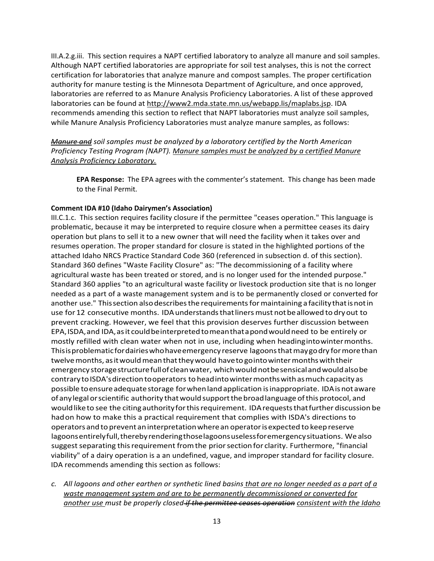III.A.2.g.iii. This section requires a NAPT certified laboratory to analyze all manure and soil samples. Although NAPT certified laboratories are appropriate for soil test analyses, this is not the correct certification for laboratories that analyze manure and compost samples. The proper certification authority for manure testing is the Minnesota Department of Agriculture, and once approved, laboratories are referred to as Manure Analysis Proficiency Laboratories. A list of these approved laboratories can be found at [http://www2.mda.state.mn.us/webapp.lis/maplabs.jsp.](http://www2.mda.state.mn.us/webapp.lis/maplabs.jsp) IDA recommends amending this section to reflect that NAPT laboratories must analyze soil samples, while Manure Analysis Proficiency Laboratories must analyze manure samples, as follows:

*Manure and soil samples must be analyzed by a laboratory certified by the North American Proficiency Testing Program (NAPT). Manure samples must be analyzed by a certified Manure Analysis Proficiency Laboratory.*

**EPA Response:** The EPA agrees with the commenter's statement. This change has been made to the Final Permit.

## **Comment IDA #10 (Idaho Dairymen's Association)**

III.C.1.c. This section requires facility closure if the permittee "ceases operation." This language is problematic, because it may be interpreted to require closure when a permittee ceases its dairy operation but plans to sell it to a new owner that will need the facility when it takes over and resumes operation. The proper standard for closure is stated in the highlighted portions of the attached Idaho NRCS Practice Standard Code 360 (referenced in subsection d. of this section). Standard 360 defines "Waste Facility Closure" as: "The decommissioning of a facility where agricultural waste has been treated or stored, and is no longer used for the intended purpose." Standard 360 applies "to an agricultural waste facility or livestock production site that is no longer needed as a part of a waste management system and is to be permanently closed or converted for another use." This section also describes the requirements for maintaining a facility that is not in use for 12 consecutive months. IDA understands that liners must not be allowed to dry out to prevent cracking. However, we feel that this provision deserves further discussion between EPA,ISDA,and IDA,asit couldbeinterpretedtomeanthatapondwouldneed to be entirely or mostly refilled with clean water when not in use, including when headingintowintermonths. Thisisproblematicfordairieswhohaveemergencyreserve lagoonsthatmaygodry formorethan twelve months, as it would mean that they would have to gointo winter months with their emergency storagestructurefullofcleanwater, whichwould notbesensicalandwouldalsobe contrary to ISDA's direction to operators to head into winter months with as much capacity as possible to ensure adequate storage for when land application is inappropriate. IDA is not aware of anylegalorscientific authority thatwouldsupportthebroadlanguage ofthis protocol, and would like to see the citing authority for this requirement. IDA requests that further discussion be hadon how to make this a practical requirement that complies with ISDA's directions to operators and to prevent aninterpretationwherean operatorisexpected to keepreserve lagoons entirely full, thereby rendering those lagoons useless for emergency situations. We also suggest separating this requirement from the prior section for clarity. Furthermore, "financial viability" of a dairy operation is a an undefined, vague, and improper standard for facility closure. IDA recommends amending this section as follows:

*c. All lagoons and other earthen or synthetic lined basins that are no longer needed as a part of a waste management system and are to be permanently decommissioned or converted for another use must be properly closed if the permittee ceases operation consistent with the Idaho*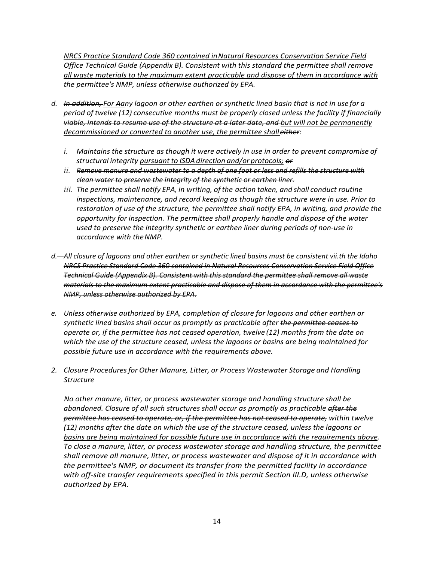*NRCS Practice Standard Code 360 contained inNatural Resources Conservation Service Field Office Technical Guide (Appendix B). Consistent with this standard the permittee shall remove all waste materials to the maximum extent practicable and dispose of them in accordance with the permittee's NMP, unless otherwise authorized by EPA.*

- *d. In addition, For Aany lagoon or other earthen or synthetic lined basin that is not in use for a period of twelve (12) consecutive months must be properly closed unless the facility if financially viable, intends to resume use of the structure at a later date, and but will not be permanently decommissioned or converted to another use, the permittee shalleither:*
	- *i. Maintains the structure as though it were actively in use in order to prevent compromise of structural integrity pursuant to ISDAdirection and/or protocols; or*
	- *ii. Remove manure and wastewater to a depth of one foot or less and refills the structure with clean water to preserve the integrity of the synthetic or earthen liner.*
	- *iii. The permittee shall notify EPA, in writing, of the action taken, and shall conduct routine inspections, maintenance, and record keeping as though the structure were in use. Prior to restoration of use of the structure, the permittee shall notify EPA, in writing, and provide the opportunity for inspection. The permittee shall properly handle and dispose of the water used to preserve the integrity synthetic or earthen liner during periods of non-use in accordance with theNMP.*
- *d. All closure of lagoons and other earthen or synthetic lined basins must be consistent vii.th the Idaho NRCS Practice Standard Code 360 contained in Natural Resources Conservation Service Field Office Technical Guide (Appendix B). Consistent with this standard the permittee shall remove all waste materials to the maximum extent practicable and dispose of them in accordance with the permittee's NMP, unless otherwise authorized by EPA.*
- *e. Unless otherwise authorized by EPA, completion of closure for lagoons and other earthen or synthetic lined basins shall occur as promptly as practicable after the permittee ceases to operate or, if the permittee has not ceased operation, twelve (12) months from the date on which the use of the structure ceased, unless the lagoons or basins are being maintained for possible future use in accordance with the requirements above.*
- *2. Closure Proceduresfor Other Manure, Litter, or Process Wastewater Storage and Handling Structure*

*No other manure, litter, or process wastewater storage and handling structure shall be abandoned. Closure of all such structures shall occur as promptly as practicable after the permittee has ceased to operate, or, if the permittee has not ceased to operate, within twelve (12) months after the date on which the use of the structure ceased, unless the lagoons or basins are being maintained for possible future use in accordance with the requirements above. To close a manure, litter, or process wastewater storage and handling structure, the permittee shall remove all manure, litter, or process wastewater and dispose of it in accordance with the permittee's NMP, or document its transfer from the permitted facility in accordance with off-site transfer requirements specified in this permit Section III.D, unless otherwise authorized by EPA.*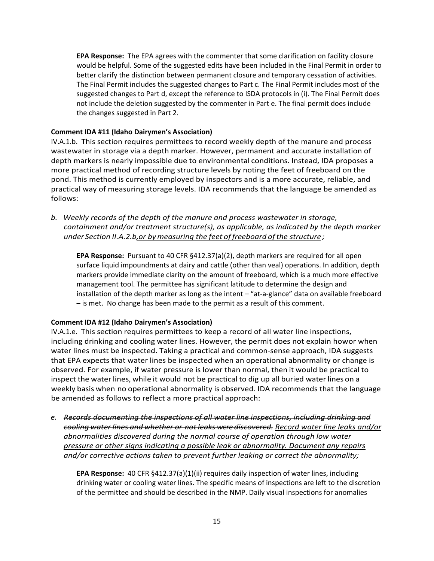**EPA Response:** The EPA agrees with the commenter that some clarification on facility closure would be helpful. Some of the suggested edits have been included in the Final Permit in order to better clarify the distinction between permanent closure and temporary cessation of activities. The Final Permit includes the suggested changes to Part c. The Final Permit includes most of the suggested changes to Part d, except the reference to ISDA protocols in (i). The Final Permit does not include the deletion suggested by the commenter in Part e. The final permit does include the changes suggested in Part 2.

# **Comment IDA #11 (Idaho Dairymen's Association)**

IV.A.1.b. This section requires permittees to record weekly depth of the manure and process wastewater in storage via a depth marker. However, permanent and accurate installation of depth markers is nearly impossible due to environmental conditions. Instead, IDA proposes a more practical method of recording structure levels by noting the feet of freeboard on the pond. This method is currently employed by inspectors and is a more accurate, reliable, and practical way of measuring storage levels. IDA recommends that the language be amended as follows:

*b. Weekly records of the depth of the manure and process wastewater in storage, containment and/or treatment structure(s), as applicable, as indicated by the depth marker under Section II.A.2.b,or bymeasuring the feet of freeboard ofthe structure ;*

**EPA Response:** Pursuant to 40 CFR §412.37(a)(2), depth markers are required for all open surface liquid impoundments at dairy and cattle (other than veal) operations. In addition, depth markers provide immediate clarity on the amount of freeboard, which is a much more effective management tool. The permittee has significant latitude to determine the design and installation of the depth marker as long as the intent – "at-a-glance" data on available freeboard – is met. No change has been made to the permit as a result of this comment.

# **Comment IDA #12 (Idaho Dairymen's Association)**

IV.A.1.e. This section requires permittees to keep a record of all water line inspections, including drinking and cooling water lines. However, the permit does not explain howor when water lines must be inspected. Taking a practical and common-sense approach, IDA suggests that EPA expects that water lines be inspected when an operational abnormality or change is observed. For example, if water pressure is lower than normal, then it would be practical to inspect the water lines, while it would not be practical to dig up all buried waterlines on a weekly basis when no operational abnormality is observed. IDA recommends that the language be amended as follows to reflect a more practical approach:

*e. Records documenting the inspections of all water line inspections, including drinking and cooling water lines and whether or not leaks were discovered. Record water line leaks and/or abnormalities discovered during the normal course of operation through low water pressure or other signs indicating a possible leak or abnormality. Document any repairs and/or corrective actions taken to prevent further leaking or correct the abnormality;*

**EPA Response:** 40 CFR §412.37(a)(1)(ii) requires daily inspection of water lines, including drinking water or cooling water lines. The specific means of inspections are left to the discretion of the permittee and should be described in the NMP. Daily visual inspections for anomalies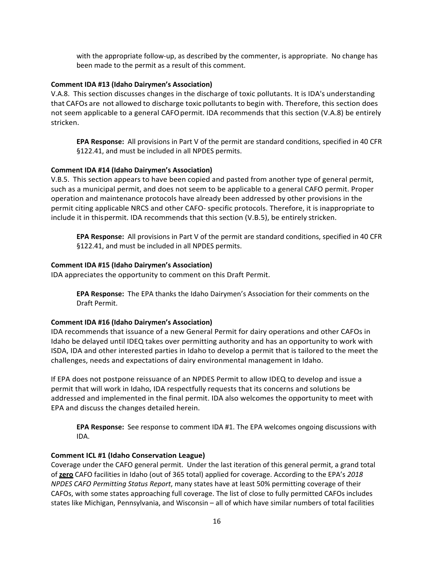with the appropriate follow-up, as described by the commenter, is appropriate. No change has been made to the permit as a result of this comment.

## **Comment IDA #13 (Idaho Dairymen's Association)**

V.A.8. This section discusses changes in the discharge of toxic pollutants. It is IDA's understanding that CAFOs are not allowed to discharge toxic pollutants to begin with. Therefore, this section does not seem applicable to a general CAFOpermit. IDA recommends that this section (V.A.8) be entirely stricken.

**EPA Response:** All provisions in Part V of the permit are standard conditions, specified in 40 CFR §122.41, and must be included in all NPDES permits.

# **Comment IDA #14 (Idaho Dairymen's Association)**

V.B.5. This section appears to have been copied and pasted from another type of general permit, such as a municipal permit, and does not seem to be applicable to a general CAFO permit. Proper operation and maintenance protocols have already been addressed by other provisions in the permit citing applicable NRCS and other CAFO- specific protocols. Therefore, it is inappropriate to include it in thispermit. IDA recommends that this section (V.B.5), be entirely stricken.

**EPA Response:** All provisions in Part V of the permit are standard conditions, specified in 40 CFR §122.41, and must be included in all NPDES permits.

# **Comment IDA #15 (Idaho Dairymen's Association)**

IDA appreciates the opportunity to comment on this Draft Permit.

**EPA Response:** The EPA thanks the Idaho Dairymen's Association for their comments on the Draft Permit.

## **Comment IDA #16 (Idaho Dairymen's Association)**

IDA recommends that issuance of a new General Permit for dairy operations and other CAFOs in Idaho be delayed until IDEQ takes over permitting authority and has an opportunity to work with ISDA, IDA and other interested parties in Idaho to develop a permit that is tailored to the meet the challenges, needs and expectations of dairy environmental management in Idaho.

If EPA does not postpone reissuance of an NPDES Permit to allow IDEQ to develop and issue a permit that will work in Idaho, IDA respectfully requests that its concerns and solutions be addressed and implemented in the final permit. IDA also welcomes the opportunity to meet with EPA and discuss the changes detailed herein.

**EPA Response:** See response to comment IDA #1. The EPA welcomes ongoing discussions with IDA.

## <span id="page-15-0"></span>**Comment ICL #1 (Idaho Conservation League)**

Coverage under the CAFO general permit. Under the last iteration of this general permit, a grand total of **zero** CAFO facilities in Idaho (out of 365 total) applied for coverage. According to the EPA's *2018 NPDES CAFO Permitting Status Report*, many states have at least 50% permitting coverage of their CAFOs, with some states approaching full coverage. The list of close to fully permitted CAFOs includes states like Michigan, Pennsylvania, and Wisconsin – all of which have similar numbers of total facilities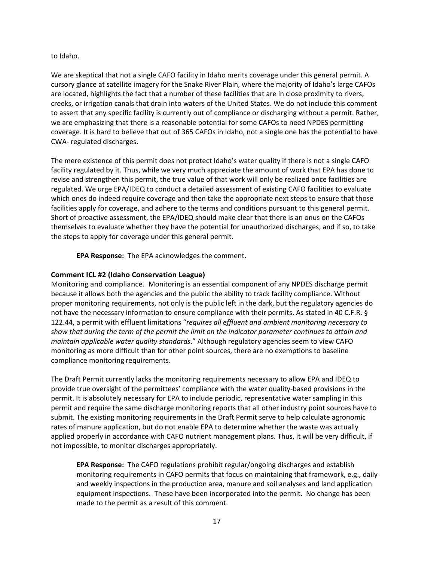#### to Idaho.

We are skeptical that not a single CAFO facility in Idaho merits coverage under this general permit. A cursory glance at satellite imagery for the Snake River Plain, where the majority of Idaho's large CAFOs are located, highlights the fact that a number of these facilities that are in close proximity to rivers, creeks, or irrigation canals that drain into waters of the United States. We do not include this comment to assert that any specific facility is currently out of compliance or discharging without a permit. Rather, we are emphasizing that there is a reasonable potential for some CAFOs to need NPDES permitting coverage. It is hard to believe that out of 365 CAFOs in Idaho, not a single one has the potential to have CWA- regulated discharges.

The mere existence of this permit does not protect Idaho's water quality if there is not a single CAFO facility regulated by it. Thus, while we very much appreciate the amount of work that EPA has done to revise and strengthen this permit, the true value of that work will only be realized once facilities are regulated. We urge EPA/IDEQ to conduct a detailed assessment of existing CAFO facilities to evaluate which ones do indeed require coverage and then take the appropriate next steps to ensure that those facilities apply for coverage, and adhere to the terms and conditions pursuant to this general permit. Short of proactive assessment, the EPA/IDEQ should make clear that there is an onus on the CAFOs themselves to evaluate whether they have the potential for unauthorized discharges, and if so, to take the steps to apply for coverage under this general permit.

**EPA Response:** The EPA acknowledges the comment.

# **Comment ICL #2 (Idaho Conservation League)**

Monitoring and compliance. Monitoring is an essential component of any NPDES discharge permit because it allows both the agencies and the public the ability to track facility compliance. Without proper monitoring requirements, not only is the public left in the dark, but the regulatory agencies do not have the necessary information to ensure compliance with their permits. As stated in 40 C.F.R. § 122.44, a permit with effluent limitations "*requires all effluent and ambient monitoring necessary to show that during the term of the permit the limit on the indicator parameter continues to attain and maintain applicable water quality standards*." Although regulatory agencies seem to view CAFO monitoring as more difficult than for other point sources, there are no exemptions to baseline compliance monitoring requirements.

The Draft Permit currently lacks the monitoring requirements necessary to allow EPA and IDEQ to provide true oversight of the permittees' compliance with the water quality-based provisions in the permit. It is absolutely necessary for EPA to include periodic, representative water sampling in this permit and require the same discharge monitoring reports that all other industry point sources have to submit. The existing monitoring requirements in the Draft Permit serve to help calculate agronomic rates of manure application, but do not enable EPA to determine whether the waste was actually applied properly in accordance with CAFO nutrient management plans. Thus, it will be very difficult, if not impossible, to monitor discharges appropriately.

**EPA Response:** The CAFO regulations prohibit regular/ongoing discharges and establish monitoring requirements in CAFO permits that focus on maintaining that framework, e.g., daily and weekly inspections in the production area, manure and soil analyses and land application equipment inspections. These have been incorporated into the permit. No change has been made to the permit as a result of this comment.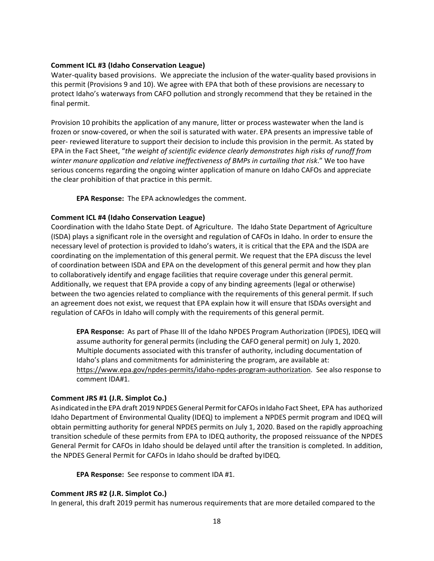## **Comment ICL #3 (Idaho Conservation League)**

Water-quality based provisions. We appreciate the inclusion of the water-quality based provisions in this permit (Provisions 9 and 10). We agree with EPA that both of these provisions are necessary to protect Idaho's waterways from CAFO pollution and strongly recommend that they be retained in the final permit.

Provision 10 prohibits the application of any manure, litter or process wastewater when the land is frozen or snow-covered, or when the soil is saturated with water. EPA presents an impressive table of peer- reviewed literature to support their decision to include this provision in the permit. As stated by EPA in the Fact Sheet, "*the weight of scientific evidence clearly demonstrates high risks of runoff from winter manure application and relative ineffectiveness of BMPs in curtailing that risk*." We too have serious concerns regarding the ongoing winter application of manure on Idaho CAFOs and appreciate the clear prohibition of that practice in this permit.

**EPA Response:** The EPA acknowledges the comment.

# **Comment ICL #4 (Idaho Conservation League)**

Coordination with the Idaho State Dept. of Agriculture. The Idaho State Department of Agriculture (ISDA) plays a significant role in the oversight and regulation of CAFOs in Idaho. In order to ensure the necessary level of protection is provided to Idaho's waters, it is critical that the EPA and the ISDA are coordinating on the implementation of this general permit. We request that the EPA discuss the level of coordination between ISDA and EPA on the development of this general permit and how they plan to collaboratively identify and engage facilities that require coverage under this general permit. Additionally, we request that EPA provide a copy of any binding agreements (legal or otherwise) between the two agencies related to compliance with the requirements of this general permit. If such an agreement does not exist, we request that EPA explain how it will ensure that ISDAs oversight and regulation of CAFOs in Idaho will comply with the requirements of this general permit.

**EPA Response:** As part of Phase III of the Idaho NPDES Program Authorization (IPDES), IDEQ will assume authority for general permits (including the CAFO general permit) on July 1, 2020. Multiple documents associated with this transfer of authority, including documentation of Idaho's plans and commitments for administering the program, are available at: [https://www.epa.gov/npdes-permits/idaho-npdes-program-authorization.](https://www.epa.gov/npdes-permits/idaho-npdes-program-authorization) See also response to comment IDA#1.

# <span id="page-17-0"></span>**Comment JRS #1 (J.R. Simplot Co.)**

As indicated in the EPA draft 2019 NPDES General Permit for CAFOs in Idaho Fact Sheet, EPA has authorized Idaho Department of Environmental Quality (IDEQ) to implement a NPDES permit program and IDEQ will obtain permitting authority for general NPDES permits on July 1, 2020. Based on the rapidly approaching transition schedule of these permits from EPA to IDEQ authority, the proposed reissuance of the NPDES General Permit for CAFOs in Idaho should be delayed until after the transition is completed. In addition, the NPDES General Permit for CAFOs in Idaho should be drafted byIDEQ.

**EPA Response:** See response to comment IDA #1.

# **Comment JRS #2 (J.R. Simplot Co.)**

In general, this draft 2019 permit has numerous requirements that are more detailed compared to the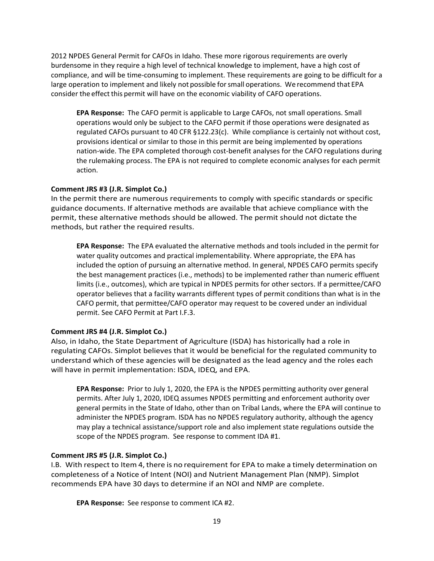2012 NPDES General Permit for CAFOs in Idaho. These more rigorous requirements are overly burdensome in they require a high level of technical knowledge to implement, have a high cost of compliance, and will be time-consuming to implement. These requirements are going to be difficult for a large operation to implement and likely not possible forsmall operations. We recommend that EPA consider the effect this permit will have on the economic viability of CAFO operations.

**EPA Response:** The CAFO permit is applicable to Large CAFOs, not small operations. Small operations would only be subject to the CAFO permit if those operations were designated as regulated CAFOs pursuant to 40 CFR §122.23(c). While compliance is certainly not without cost, provisions identical or similar to those in this permit are being implemented by operations nation-wide. The EPA completed thorough cost-benefit analyses for the CAFO regulations during the rulemaking process. The EPA is not required to complete economic analyses for each permit action.

## **Comment JRS #3 (J.R. Simplot Co.)**

In the permit there are numerous requirements to comply with specific standards or specific guidance documents. If alternative methods are available that achieve compliance with the permit, these alternative methods should be allowed. The permit should not dictate the methods, but rather the required results.

**EPA Response:** The EPA evaluated the alternative methods and tools included in the permit for water quality outcomes and practical implementability. Where appropriate, the EPA has included the option of pursuing an alternative method. In general, NPDES CAFO permits specify the best management practices (i.e., methods) to be implemented rather than numeric effluent limits (i.e., outcomes), which are typical in NPDES permits for other sectors. If a permittee/CAFO operator believes that a facility warrants different types of permit conditions than what is in the CAFO permit, that permittee/CAFO operator may request to be covered under an individual permit. See CAFO Permit at Part I.F.3.

# **Comment JRS #4 (J.R. Simplot Co.)**

Also, in Idaho, the State Department of Agriculture (ISDA) has historically had a role in regulating CAFOs. Simplot believes that it would be beneficial for the regulated community to understand which of these agencies will be designated as the lead agency and the roles each will have in permit implementation: ISDA, IDEQ, and EPA.

**EPA Response:** Prior to July 1, 2020, the EPA is the NPDES permitting authority over general permits. After July 1, 2020, IDEQ assumes NPDES permitting and enforcement authority over general permits in the State of Idaho, other than on Tribal Lands, where the EPA will continue to administer the NPDES program. ISDA has no NPDES regulatory authority, although the agency may play a technical assistance/support role and also implement state regulations outside the scope of the NPDES program. See response to comment IDA #1.

# **Comment JRS #5 (J.R. Simplot Co.)**

I.B. With respect to Item 4, there is no requirement for EPA to make a timely determination on completeness of a Notice of Intent (NOI) and Nutrient Management Plan (NMP). Simplot recommends EPA have 30 days to determine if an NOI and NMP are complete.

**EPA Response:** See response to comment ICA #2.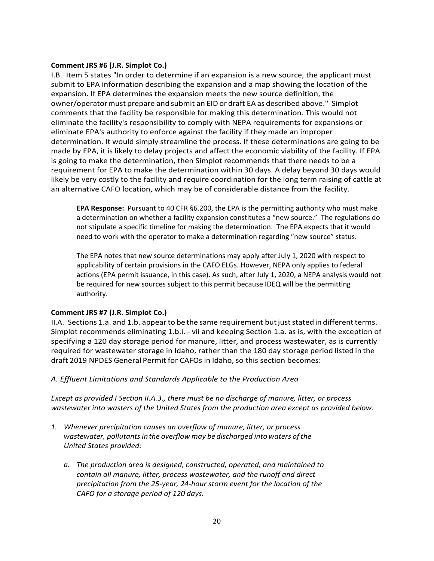## **Comment JRS #6 (J.R. Simplot Co.)**

I.B. Item 5 states "In order to determine if an expansion is a new source, the applicant must submit to EPA information describing the expansion and a map showing the location of the expansion. If EPA determines the expansion meets the new source definition, the owner/operatormust prepare and submit an EID or draft EA as described above." Simplot comments that the facility be responsible for making this determination. This would not eliminate the facility's responsibility to comply with NEPA requirements for expansions or eliminate EPA's authority to enforce against the facility if they made an improper determination. It would simply streamline the process. If these determinations are going to be made by EPA, it is likely to delay projects and affect the economic viability of the facility. If EPA is going to make the determination, then Simplot recommends that there needs to be a requirement for EPA to make the determination within 30 days. A delay beyond 30 days would likely be very costly to the facility and require coordination for the long term raising of cattle at an alternative CAFO location, which may be of considerable distance from the facility.

**EPA Response:** Pursuant to 40 CFR §6.200, the EPA is the permitting authority who must make a determination on whether a facility expansion constitutes a "new source." The regulations do not stipulate a specific timeline for making the determination. The EPA expects that it would need to work with the operator to make a determination regarding "new source" status.

The EPA notes that new source determinations may apply after July 1, 2020 with respect to applicability of certain provisions in the CAFO ELGs. However, NEPA only applies to federal actions (EPA permit issuance, in this case). As such, after July 1, 2020, a NEPA analysis would not be required for new sources subject to this permit because IDEQ will be the permitting authority.

## **Comment JRS #7 (J.R. Simplot Co.)**

II.A. Sections 1.a. and 1.b. appear to be the same requirement but just stated in different terms. Simplot recommends eliminating 1.b.i. - vii and keeping Section 1.a. as is, with the exception of specifying a 120 day storage period for manure, litter, and process wastewater, as is currently required for wastewater storage in Idaho, rather than the 180 day storage period listed in the draft 2019 NPDES General Permit for CAFOs in Idaho, so this section becomes:

*A. Effluent Limitations and Standards Applicable to the Production Area*

*Except as provided I Section II.A.3., there must be no discharge of manure, litter, or process wastewater into wasters of the United States from the production area except as provided below.*

- *1. Whenever precipitation causes an overflow of manure, litter, or process wastewater, pollutantsinthe overflow may be discharged into waters ofthe United States provided:*
	- *a. The production area is designed, constructed, operated, and maintained to contain all manure, litter, process wastewater, and the runoff and direct precipitation from the 25-year, 24-hour storm event for the location of the CAFO for a storage period of 120 days.*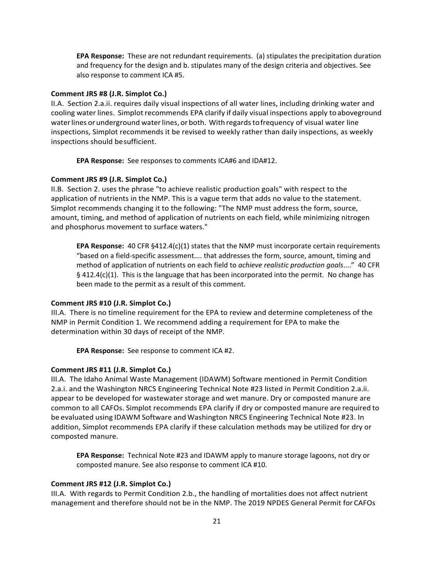**EPA Response:** These are not redundant requirements. (a) stipulates the precipitation duration and frequency for the design and b. stipulates many of the design criteria and objectives. See also response to comment ICA #5.

### **Comment JRS #8 (J.R. Simplot Co.)**

II.A. Section 2.a.ii. requires daily visual inspections of all water lines, including drinking water and cooling water lines. Simplot recommends EPA clarify if daily visual inspections apply toaboveground waterlines orunderground waterlines, or both. Withregardstofrequency of visual water line inspections, Simplot recommends it be revised to weekly rather than daily inspections, as weekly inspections should besufficient.

**EPA Response:** See responses to comments ICA#6 and IDA#12.

## **Comment JRS #9 (J.R. Simplot Co.)**

II.B. Section 2. uses the phrase "to achieve realistic production goals" with respect to the application of nutrients in the NMP. This is a vague term that adds no value to the statement. Simplot recommends changing it to the following: "The NMP must address the form, source, amount, timing, and method of application of nutrients on each field, while minimizing nitrogen and phosphorus movement to surface waters."

**EPA Response:** 40 CFR §412.4(c)(1) states that the NMP must incorporate certain requirements "based on a field-specific assessment.... that addresses the form, source, amount, timing and method of application of nutrients on each field to *achieve realistic production goals*...." 40 CFR  $\S$  412.4(c)(1). This is the language that has been incorporated into the permit. No change has been made to the permit as a result of this comment.

## **Comment JRS #10 (J.R. Simplot Co.)**

III.A. There is no timeline requirement for the EPA to review and determine completeness of the NMP in Permit Condition 1. We recommend adding a requirement for EPA to make the determination within 30 days of receipt of the NMP.

**EPA Response:** See response to comment ICA #2.

## **Comment JRS #11 (J.R. Simplot Co.)**

III.A. The Idaho Animal Waste Management (IDAWM) Software mentioned in Permit Condition 2.a.i. and the Washington NRCS Engineering Technical Note #23 listed in Permit Condition 2.a.ii. appear to be developed for wastewater storage and wet manure. Dry or composted manure are common to all CAFOs. Simplot recommends EPA clarify if dry or composted manure are required to be evaluated using IDAWM Software and Washington NRCS Engineering Technical Note #23. In addition, Simplot recommends EPA clarify if these calculation methods may be utilized for dry or composted manure.

**EPA Response:** Technical Note #23 and IDAWM apply to manure storage lagoons, not dry or composted manure. See also response to comment ICA #10.

## **Comment JRS #12 (J.R. Simplot Co.)**

III.A. With regards to Permit Condition 2.b., the handling of mortalities does not affect nutrient management and therefore should not be in the NMP. The 2019 NPDES General Permit for CAFOs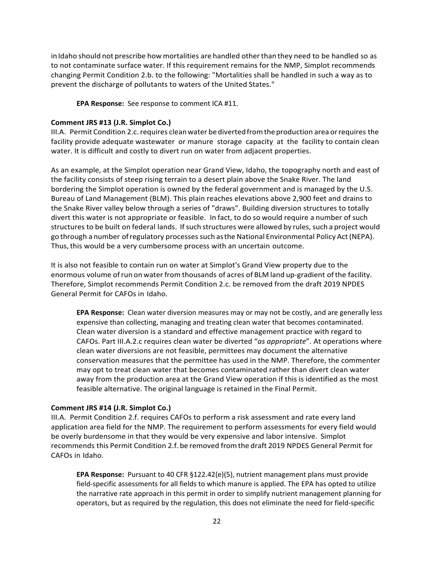in Idaho should not prescribe how mortalities are handled other than they need to be handled so as to not contaminate surface water. If this requirement remains for the NMP, Simplot recommends changing Permit Condition 2.b. to the following: "Mortalities shall be handled in such a way as to prevent the discharge of pollutants to waters of the United States."

**EPA Response:** See response to comment ICA #11.

## **Comment JRS #13 (J.R. Simplot Co.)**

III.A. Permit Condition 2.c. requires clean water be diverted from the production area or requires the facility provide adequate wastewater or manure storage capacity at the facility to contain clean water. It is difficult and costly to divert run on water from adjacent properties.

As an example, at the Simplot operation near Grand View, Idaho, the topography north and east of the facility consists of steep rising terrain to a desert plain above the Snake River. The land bordering the Simplot operation is owned by the federal government and is managed by the U.S. Bureau of Land Management (BLM). This plain reaches elevations above 2,900 feet and drains to the Snake River valley below through a series of "draws". Building diversion structures to totally divert this water is not appropriate or feasible. In fact, to do so would require a number of such structures to be built on federal lands. If such structures were allowed by rules, such a project would go through a number of regulatory processes such as the National Environmental Policy Act (NEPA). Thus,this would be a very cumbersome process with an uncertain outcome.

It is also not feasible to contain run on water at Simplot's Grand View property due to the enormous volume ofrun on water from thousands of acres of BLM land up-gradient ofthe facility. Therefore, Simplot recommends Permit Condition 2.c. be removed from the draft 2019 NPDES General Permit for CAFOs in Idaho.

**EPA Response:** Clean water diversion measures may or may not be costly, and are generally less expensive than collecting, managing and treating clean water that becomes contaminated. Clean water diversion is a standard and effective management practice with regard to CAFOs. Part III.A.2.c requires clean water be diverted "*as appropriate*". At operations where clean water diversions are not feasible, permittees may document the alternative conservation measures that the permittee has used in the NMP. Therefore, the commenter may opt to treat clean water that becomes contaminated rather than divert clean water away from the production area at the Grand View operation if this is identified as the most feasible alternative. The original language is retained in the Final Permit.

## **Comment JRS #14 (J.R. Simplot Co.)**

III.A. Permit Condition 2.f. requires CAFOs to perform a risk assessment and rate every land application area field for the NMP. The requirement to perform assessments for every field would be overly burdensome in that they would be very expensive and labor intensive. Simplot recommends this Permit Condition 2.f. be removed fromthe draft 2019 NPDES General Permit for CAFOs in Idaho.

**EPA Response:** Pursuant to 40 CFR §122.42(e)(5), nutrient management plans must provide field-specific assessments for all fields to which manure is applied. The EPA has opted to utilize the narrative rate approach in this permit in order to simplify nutrient management planning for operators, but as required by the regulation, this does not eliminate the need for field-specific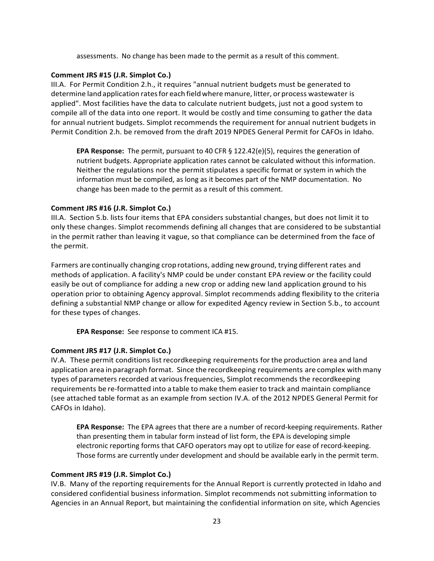assessments. No change has been made to the permit as a result of this comment.

## **Comment JRS #15 (J.R. Simplot Co.)**

III.A. For Permit Condition 2.h., it requires "annual nutrient budgets must be generated to determine land application rates for each field where manure, litter, or process wastewater is applied". Most facilities have the data to calculate nutrient budgets, just not a good system to compile all of the data into one report. It would be costly and time consuming to gather the data for annual nutrient budgets. Simplot recommends the requirement for annual nutrient budgets in Permit Condition 2.h. be removed from the draft 2019 NPDES General Permit for CAFOs in Idaho.

**EPA Response:** The permit, pursuant to 40 CFR § 122.42(e)(5), requires the generation of nutrient budgets. Appropriate application rates cannot be calculated without this information. Neither the regulations nor the permit stipulates a specific format or system in which the information must be compiled, as long as it becomes part of the NMP documentation. No change has been made to the permit as a result of this comment.

# **Comment JRS #16 (J.R. Simplot Co.)**

III.A. Section 5.b. lists four items that EPA considers substantial changes, but does not limit it to only these changes. Simplot recommends defining all changes that are considered to be substantial in the permit rather than leaving it vague, so that compliance can be determined from the face of the permit.

Farmers are continually changing croprotations, adding new ground, trying different rates and methods of application. A facility's NMP could be under constant EPA review or the facility could easily be out of compliance for adding a new crop or adding new land application ground to his operation prior to obtaining Agency approval. Simplot recommends adding flexibility to the criteria defining a substantial NMP change or allow for expedited Agency review in Section 5.b., to account for these types of changes.

**EPA Response:** See response to comment ICA #15.

# **Comment JRS #17 (J.R. Simplot Co.)**

IV.A. These permit conditions list recordkeeping requirements forthe production area and land application area in paragraph format. Since the recordkeeping requirements are complex with many types of parameters recorded at variousfrequencies, Simplot recommends the recordkeeping requirements be re-formatted into a table to make them easier to track and maintain compliance (see attached table format as an example from section IV.A. of the 2012 NPDES General Permit for CAFOs in Idaho).

**EPA Response:** The EPA agrees that there are a number of record-keeping requirements. Rather than presenting them in tabular form instead of list form, the EPA is developing simple electronic reporting forms that CAFO operators may opt to utilize for ease of record-keeping. Those forms are currently under development and should be available early in the permit term.

# **Comment JRS #19 (J.R. Simplot Co.)**

IV.B. Many of the reporting requirements for the Annual Report is currently protected in Idaho and considered confidential business information. Simplot recommends not submitting information to Agencies in an Annual Report, but maintaining the confidential information on site, which Agencies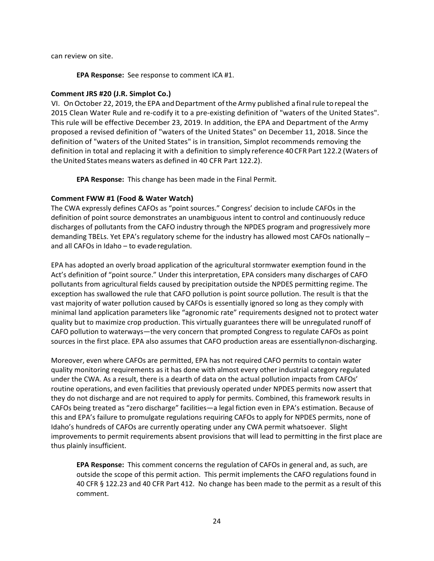can review on site.

**EPA Response:** See response to comment ICA #1.

### **Comment JRS #20 (J.R. Simplot Co.)**

VI. On October 22, 2019, the EPA and Department of the Army published a final rule to repeal the 2015 Clean Water Rule and re-codify it to a pre-existing definition of "waters of the United States". This rule will be effective December 23, 2019. In addition, the EPA and Department of the Army proposed a revised definition of "waters of the United States" on December 11, 2018. Since the definition of "waters of the United States" is in transition, Simplot recommends removing the definition in total and replacing it with a definition to simply reference 40CFR Part 122.2 (Waters of the United States means waters as defined in 40 CFR Part 122.2).

**EPA Response:** This change has been made in the Final Permit.

## <span id="page-23-0"></span>**Comment FWW #1 (Food & Water Watch)**

The CWA expressly defines CAFOs as "point sources." Congress' decision to include CAFOs in the definition of point source demonstrates an unambiguous intent to control and continuously reduce discharges of pollutants from the CAFO industry through the NPDES program and progressively more demanding TBELs. Yet EPA's regulatory scheme for the industry has allowed most CAFOs nationally – and all CAFOs in Idaho – to evaderegulation.

EPA has adopted an overly broad application of the agricultural stormwater exemption found in the Act's definition of "point source." Under this interpretation, EPA considers many discharges of CAFO pollutants from agricultural fields caused by precipitation outside the NPDES permitting regime. The exception has swallowed the rule that CAFO pollution is point source pollution. The result is that the vast majority of water pollution caused by CAFOs is essentially ignored so long as they comply with minimal land application parameters like "agronomic rate" requirements designed not to protect water quality but to maximize crop production. This virtually guarantees there will be unregulated runoff of CAFO pollution to waterways—the very concern that prompted Congress to regulate CAFOs as point sources in the first place. EPA also assumes that CAFO production areas are essentiallynon-discharging.

Moreover, even where CAFOs are permitted, EPA has not required CAFO permits to contain water quality monitoring requirements as it has done with almost every other industrial category regulated under the CWA. As a result, there is a dearth of data on the actual pollution impacts from CAFOs' routine operations, and even facilities that previously operated under NPDES permits now assert that they do not discharge and are not required to apply for permits. Combined, this framework results in CAFOs being treated as "zero discharge" facilities—a legal fiction even in EPA's estimation. Because of this and EPA's failure to promulgate regulations requiring CAFOs to apply for NPDES permits, none of Idaho's hundreds of CAFOs are currently operating under any CWA permit whatsoever. Slight improvements to permit requirements absent provisions that will lead to permitting in the first place are thus plainly insufficient.

**EPA Response:** This comment concerns the regulation of CAFOs in general and, as such, are outside the scope of this permit action. This permit implements the CAFO regulations found in 40 CFR § 122.23 and 40 CFR Part 412. No change has been made to the permit as a result of this comment.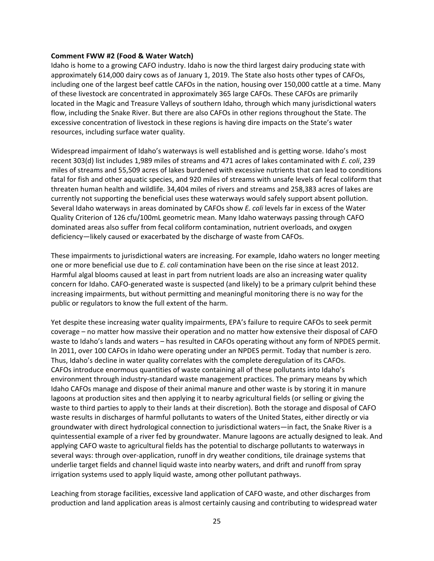#### **Comment FWW #2 (Food & Water Watch)**

Idaho is home to a growing CAFO industry. Idaho is now the third largest dairy producing state with approximately 614,000 dairy cows as of January 1, 2019. The State also hosts other types of CAFOs, including one of the largest beef cattle CAFOs in the nation, housing over 150,000 cattle at a time. Many of these livestock are concentrated in approximately 365 large CAFOs. These CAFOs are primarily located in the Magic and Treasure Valleys of southern Idaho, through which many jurisdictional waters flow, including the Snake River. But there are also CAFOs in other regions throughout the State. The excessive concentration of livestock in these regions is having dire impacts on the State's water resources, including surface water quality.

Widespread impairment of Idaho's waterways is well established and is getting worse. Idaho's most recent 303(d) list includes 1,989 miles of streams and 471 acres of lakes contaminated with *E. coli*, 239 miles of streams and 55,509 acres of lakes burdened with excessive nutrients that can lead to conditions fatal for fish and other aquatic species, and 920 miles of streams with unsafe levels of fecal coliform that threaten human health and wildlife. 34,404 miles of rivers and streams and 258,383 acres of lakes are currently not supporting the beneficial uses these waterways would safely support absent pollution. Several Idaho waterways in areas dominated by CAFOs show *E. coli* levels far in excess of the Water Quality Criterion of 126 cfu/100mL geometric mean. Many Idaho waterways passing through CAFO dominated areas also suffer from fecal coliform contamination, nutrient overloads, and oxygen deficiency—likely caused or exacerbated by the discharge of waste from CAFOs.

These impairments to jurisdictional waters are increasing. For example, Idaho waters no longer meeting one or more beneficial use due to *E. coli* contamination have been on the rise since at least 2012. Harmful algal blooms caused at least in part from nutrient loads are also an increasing water quality concern for Idaho. CAFO-generated waste is suspected (and likely) to be a primary culprit behind these increasing impairments, but without permitting and meaningful monitoring there is no way for the public or regulators to know the full extent of the harm.

Yet despite these increasing water quality impairments, EPA's failure to require CAFOs to seek permit coverage – no matter how massive their operation and no matter how extensive their disposal of CAFO waste to Idaho's lands and waters – has resulted in CAFOs operating without any form of NPDES permit. In 2011, over 100 CAFOs in Idaho were operating under an NPDES permit. Today that number is zero. Thus, Idaho's decline in water quality correlates with the complete deregulation of its CAFOs. CAFOs introduce enormous quantities of waste containing all of these pollutants into Idaho's environment through industry-standard waste management practices. The primary means by which Idaho CAFOs manage and dispose of their animal manure and other waste is by storing it in manure lagoons at production sites and then applying it to nearby agricultural fields (or selling or giving the waste to third parties to apply to their lands at their discretion). Both the storage and disposal of CAFO waste results in discharges of harmful pollutants to waters of the United States, either directly or via groundwater with direct hydrological connection to jurisdictional waters—in fact, the Snake River is a quintessential example of a river fed by groundwater. Manure lagoons are actually designed to leak. And applying CAFO waste to agricultural fields has the potential to discharge pollutants to waterways in several ways: through over-application, runoff in dry weather conditions, tile drainage systems that underlie target fields and channel liquid waste into nearby waters, and drift and runoff from spray irrigation systems used to apply liquid waste, among other pollutant pathways.

Leaching from storage facilities, excessive land application of CAFO waste, and other discharges from production and land application areas is almost certainly causing and contributing to widespread water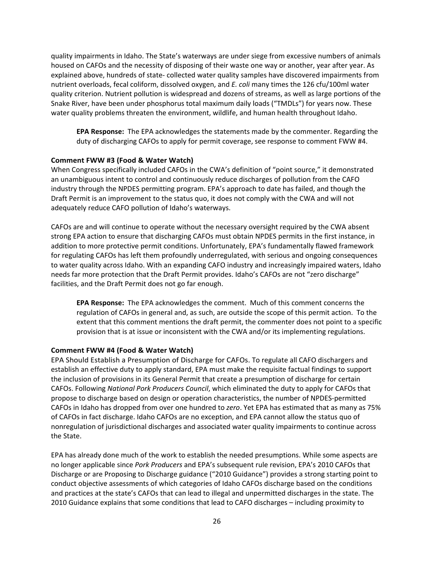quality impairments in Idaho. The State's waterways are under siege from excessive numbers of animals housed on CAFOs and the necessity of disposing of their waste one way or another, year after year. As explained above, hundreds of state- collected water quality samples have discovered impairments from nutrient overloads, fecal coliform, dissolved oxygen, and *E. coli* many times the 126 cfu/100ml water quality criterion. Nutrient pollution is widespread and dozens of streams, as well as large portions of the Snake River, have been under phosphorus total maximum daily loads ("TMDLs") for years now. These water quality problems threaten the environment, wildlife, and human health throughout Idaho.

**EPA Response:** The EPA acknowledges the statements made by the commenter. Regarding the duty of discharging CAFOs to apply for permit coverage, see response to comment FWW #4.

#### **Comment FWW #3 (Food & Water Watch)**

When Congress specifically included CAFOs in the CWA's definition of "point source," it demonstrated an unambiguous intent to control and continuously reduce discharges of pollution from the CAFO industry through the NPDES permitting program. EPA's approach to date has failed, and though the Draft Permit is an improvement to the status quo, it does not comply with the CWA and will not adequately reduce CAFO pollution of Idaho's waterways.

CAFOs are and will continue to operate without the necessary oversight required by the CWA absent strong EPA action to ensure that discharging CAFOs must obtain NPDES permits in the first instance, in addition to more protective permit conditions. Unfortunately, EPA's fundamentally flawed framework for regulating CAFOs has left them profoundly underregulated, with serious and ongoing consequences to water quality across Idaho. With an expanding CAFO industry and increasingly impaired waters, Idaho needs far more protection that the Draft Permit provides. Idaho's CAFOs are not "zero discharge" facilities, and the Draft Permit does not go far enough.

**EPA Response:** The EPA acknowledges the comment. Much of this comment concerns the regulation of CAFOs in general and, as such, are outside the scope of this permit action. To the extent that this comment mentions the draft permit, the commenter does not point to a specific provision that is at issue or inconsistent with the CWA and/or its implementing regulations.

#### **Comment FWW #4 (Food & Water Watch)**

EPA Should Establish a Presumption of Discharge for CAFOs. To regulate all CAFO dischargers and establish an effective duty to apply standard, EPA must make the requisite factual findings to support the inclusion of provisions in its General Permit that create a presumption of discharge for certain CAFOs. Following *National Pork Producers Council*, which eliminated the duty to apply for CAFOs that propose to discharge based on design or operation characteristics, the number of NPDES-permitted CAFOs in Idaho has dropped from over one hundred to *zero*. Yet EPA has estimated that as many as 75% of CAFOs in fact discharge. Idaho CAFOs are no exception, and EPA cannot allow the status quo of nonregulation of jurisdictional discharges and associated water quality impairments to continue across the State.

EPA has already done much of the work to establish the needed presumptions. While some aspects are no longer applicable since *Pork Producers* and EPA's subsequent rule revision, EPA's 2010 CAFOs that Discharge or are Proposing to Discharge guidance ("2010 Guidance") provides a strong starting point to conduct objective assessments of which categories of Idaho CAFOs discharge based on the conditions and practices at the state's CAFOs that can lead to illegal and unpermitted discharges in the state. The 2010 Guidance explains that some conditions that lead to CAFO discharges – including proximity to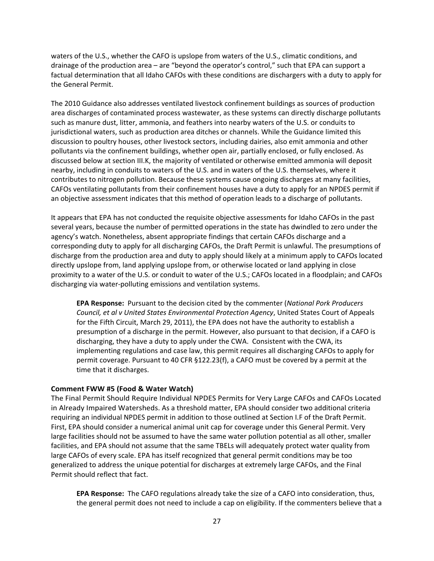waters of the U.S., whether the CAFO is upslope from waters of the U.S., climatic conditions, and drainage of the production area – are "beyond the operator's control," such that EPA can support a factual determination that all Idaho CAFOs with these conditions are dischargers with a duty to apply for the General Permit.

The 2010 Guidance also addresses ventilated livestock confinement buildings as sources of production area discharges of contaminated process wastewater, as these systems can directly discharge pollutants such as manure dust, litter, ammonia, and feathers into nearby waters of the U.S. or conduits to jurisdictional waters, such as production area ditches or channels. While the Guidance limited this discussion to poultry houses, other livestock sectors, including dairies, also emit ammonia and other pollutants via the confinement buildings, whether open air, partially enclosed, or fully enclosed. As discussed below at section III.K, the majority of ventilated or otherwise emitted ammonia will deposit nearby, including in conduits to waters of the U.S. and in waters of the U.S. themselves, where it contributes to nitrogen pollution. Because these systems cause ongoing discharges at many facilities, CAFOs ventilating pollutants from their confinement houses have a duty to apply for an NPDES permit if an objective assessment indicates that this method of operation leads to a discharge of pollutants.

It appears that EPA has not conducted the requisite objective assessments for Idaho CAFOs in the past several years, because the number of permitted operations in the state has dwindled to zero under the agency's watch. Nonetheless, absent appropriate findings that certain CAFOs discharge and a corresponding duty to apply for all discharging CAFOs, the Draft Permit is unlawful. The presumptions of discharge from the production area and duty to apply should likely at a minimum apply to CAFOs located directly upslope from, land applying upslope from, or otherwise located or land applying in close proximity to a water of the U.S. or conduit to water of the U.S.; CAFOs located in a floodplain; and CAFOs discharging via water-polluting emissions and ventilation systems.

**EPA Response:** Pursuant to the decision cited by the commenter (*National Pork Producers Council, et al v United States Environmental Protection Agency*, United States Court of Appeals for the Fifth Circuit, March 29, 2011), the EPA does not have the authority to establish a presumption of a discharge in the permit. However, also pursuant to that decision, if a CAFO is discharging, they have a duty to apply under the CWA. Consistent with the CWA, its implementing regulations and case law, this permit requires all discharging CAFOs to apply for permit coverage. Pursuant to 40 CFR §122.23(f), a CAFO must be covered by a permit at the time that it discharges.

## **Comment FWW #5 (Food & Water Watch)**

The Final Permit Should Require Individual NPDES Permits for Very Large CAFOs and CAFOs Located in Already Impaired Watersheds. As a threshold matter, EPA should consider two additional criteria requiring an individual NPDES permit in addition to those outlined at Section I.F of the Draft Permit. First, EPA should consider a numerical animal unit cap for coverage under this General Permit. Very large facilities should not be assumed to have the same water pollution potential as all other, smaller facilities, and EPA should not assume that the same TBELs will adequately protect water quality from large CAFOs of every scale. EPA has itself recognized that general permit conditions may be too generalized to address the unique potential for discharges at extremely large CAFOs, and the Final Permit should reflect that fact.

**EPA Response:** The CAFO regulations already take the size of a CAFO into consideration, thus, the general permit does not need to include a cap on eligibility. If the commenters believe that a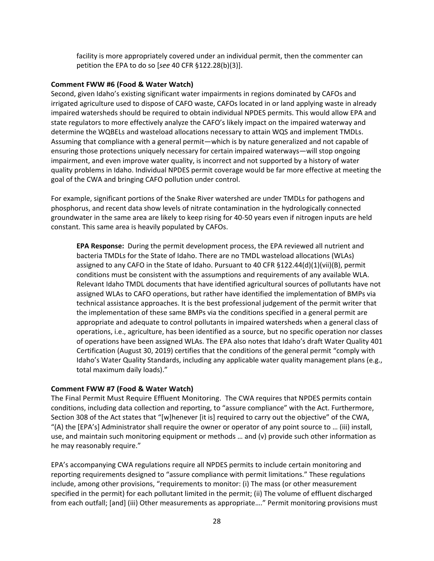facility is more appropriately covered under an individual permit, then the commenter can petition the EPA to do so [*see* 40 CFR §122.28(b)(3)].

#### **Comment FWW #6 (Food & Water Watch)**

Second, given Idaho's existing significant water impairments in regions dominated by CAFOs and irrigated agriculture used to dispose of CAFO waste, CAFOs located in or land applying waste in already impaired watersheds should be required to obtain individual NPDES permits. This would allow EPA and state regulators to more effectively analyze the CAFO's likely impact on the impaired waterway and determine the WQBELs and wasteload allocations necessary to attain WQS and implement TMDLs. Assuming that compliance with a general permit—which is by nature generalized and not capable of ensuring those protections uniquely necessary for certain impaired waterways—will stop ongoing impairment, and even improve water quality, is incorrect and not supported by a history of water quality problems in Idaho. Individual NPDES permit coverage would be far more effective at meeting the goal of the CWA and bringing CAFO pollution under control.

For example, significant portions of the Snake River watershed are under TMDLs for pathogens and phosphorus, and recent data show levels of nitrate contamination in the hydrologically connected groundwater in the same area are likely to keep rising for 40-50 years even if nitrogen inputs are held constant. This same area is heavily populated by CAFOs.

**EPA Response:** During the permit development process, the EPA reviewed all nutrient and bacteria TMDLs for the State of Idaho. There are no TMDL wasteload allocations (WLAs) assigned to any CAFO in the State of Idaho. Pursuant to 40 CFR §122.44(d)(1)(vii)(B), permit conditions must be consistent with the assumptions and requirements of any available WLA. Relevant Idaho TMDL documents that have identified agricultural sources of pollutants have not assigned WLAs to CAFO operations, but rather have identified the implementation of BMPs via technical assistance approaches. It is the best professional judgement of the permit writer that the implementation of these same BMPs via the conditions specified in a general permit are appropriate and adequate to control pollutants in impaired watersheds when a general class of operations, i.e., agriculture, has been identified as a source, but no specific operation nor classes of operations have been assigned WLAs. The EPA also notes that Idaho's draft Water Quality 401 Certification (August 30, 2019) certifies that the conditions of the general permit "comply with Idaho's Water Quality Standards, including any applicable water quality management plans (e.g., total maximum daily loads)."

## **Comment FWW #7 (Food & Water Watch)**

The Final Permit Must Require Effluent Monitoring. The CWA requires that NPDES permits contain conditions, including data collection and reporting, to "assure compliance" with the Act. Furthermore, Section 308 of the Act states that "[w]henever [it is] required to carry out the objective" of the CWA, "(A) the [EPA's] Administrator shall require the owner or operator of any point source to … (iii) install, use, and maintain such monitoring equipment or methods … and (v) provide such other information as he may reasonably require."

EPA's accompanying CWA regulations require all NPDES permits to include certain monitoring and reporting requirements designed to "assure compliance with permit limitations." These regulations include, among other provisions, "requirements to monitor: (i) The mass (or other measurement specified in the permit) for each pollutant limited in the permit; (ii) The volume of effluent discharged from each outfall; [and] (iii) Other measurements as appropriate…." Permit monitoring provisions must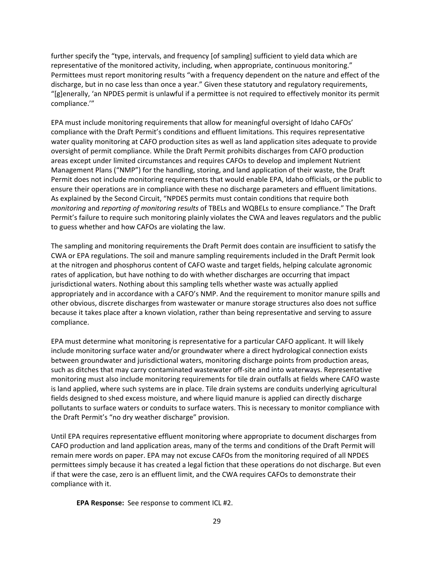further specify the "type, intervals, and frequency [of sampling] sufficient to yield data which are representative of the monitored activity, including, when appropriate, continuous monitoring." Permittees must report monitoring results "with a frequency dependent on the nature and effect of the discharge, but in no case less than once a year." Given these statutory and regulatory requirements, "[g]enerally, 'an NPDES permit is unlawful if a permittee is not required to effectively monitor its permit compliance.'"

EPA must include monitoring requirements that allow for meaningful oversight of Idaho CAFOs' compliance with the Draft Permit's conditions and effluent limitations. This requires representative water quality monitoring at CAFO production sites as well as land application sites adequate to provide oversight of permit compliance. While the Draft Permit prohibits discharges from CAFO production areas except under limited circumstances and requires CAFOs to develop and implement Nutrient Management Plans ("NMP") for the handling, storing, and land application of their waste, the Draft Permit does not include monitoring requirements that would enable EPA, Idaho officials, or the public to ensure their operations are in compliance with these no discharge parameters and effluent limitations. As explained by the Second Circuit, "NPDES permits must contain conditions that require both *monitoring* and *reporting of monitoring results* of TBELs and WQBELs to ensure compliance." The Draft Permit's failure to require such monitoring plainly violates the CWA and leaves regulators and the public to guess whether and how CAFOs are violating the law.

The sampling and monitoring requirements the Draft Permit does contain are insufficient to satisfy the CWA or EPA regulations. The soil and manure sampling requirements included in the Draft Permit look at the nitrogen and phosphorus content of CAFO waste and target fields, helping calculate agronomic rates of application, but have nothing to do with whether discharges are occurring that impact jurisdictional waters. Nothing about this sampling tells whether waste was actually applied appropriately and in accordance with a CAFO's NMP. And the requirement to monitor manure spills and other obvious, discrete discharges from wastewater or manure storage structures also does not suffice because it takes place after a known violation, rather than being representative and serving to assure compliance.

EPA must determine what monitoring is representative for a particular CAFO applicant. It will likely include monitoring surface water and/or groundwater where a direct hydrological connection exists between groundwater and jurisdictional waters, monitoring discharge points from production areas, such as ditches that may carry contaminated wastewater off-site and into waterways. Representative monitoring must also include monitoring requirements for tile drain outfalls at fields where CAFO waste is land applied, where such systems are in place. Tile drain systems are conduits underlying agricultural fields designed to shed excess moisture, and where liquid manure is applied can directly discharge pollutants to surface waters or conduits to surface waters. This is necessary to monitor compliance with the Draft Permit's "no dry weather discharge" provision.

Until EPA requires representative effluent monitoring where appropriate to document discharges from CAFO production and land application areas, many of the terms and conditions of the Draft Permit will remain mere words on paper. EPA may not excuse CAFOs from the monitoring required of all NPDES permittees simply because it has created a legal fiction that these operations do not discharge. But even if that were the case, zero is an effluent limit, and the CWA requires CAFOs to demonstrate their compliance with it.

**EPA Response:** See response to comment ICL #2.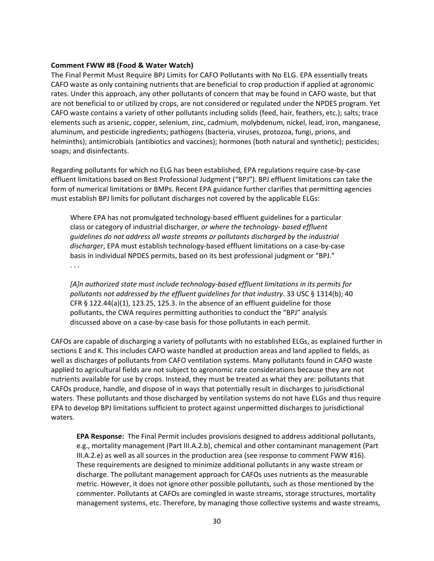#### **Comment FWW #8 (Food & Water Watch)**

The Final Permit Must Require BPJ Limits for CAFO Pollutants with No ELG. EPA essentially treats CAFO waste as only containing nutrients that are beneficial to crop production if applied at agronomic rates. Under this approach, any other pollutants of concern that may be found in CAFO waste, but that are not beneficial to or utilized by crops, are not considered or regulated under the NPDES program. Yet CAFO waste contains a variety of other pollutants including solids (feed, hair, feathers, etc.); salts; trace elements such as arsenic, copper, selenium, zinc, cadmium, molybdenum, nickel, lead, iron, manganese, aluminum, and pesticide ingredients; pathogens (bacteria, viruses, protozoa, fungi, prions, and helminths); antimicrobials (antibiotics and vaccines); hormones (both natural and synthetic); pesticides; soaps; and disinfectants.

Regarding pollutants for which no ELG has been established, EPA regulations require case-by-case effluent limitations based on Best Professional Judgment ("BPJ"). BPJ effluent limitations can take the form of numerical limitations or BMPs. Recent EPA guidance further clarifies that permitting agencies must establish BPJ limits for pollutant discharges not covered by the applicable ELGs:

Where EPA has not promulgated technology-based effluent guidelines for a particular class or category of industrial discharger, *or where the technology- based effluent guidelines do not address all waste streams or pollutants discharged by the industrial discharger*, EPA must establish technology-based effluent limitations on a case-by-case basis in individual NPDES permits, based on its best professional judgment or "BPJ."

. . .

*[A]n authorized state must include technology-based effluent limitations in its permits for pollutants not addressed by the effluent guidelines for that industry*. 33 USC § 1314(b); 40 CFR § 122.44(a)(1), 123.25, 125.3. In the absence of an effluent guideline for those pollutants, the CWA requires permitting authorities to conduct the "BPJ" analysis discussed above on a case-by-case basis for those pollutants in each permit.

CAFOs are capable of discharging a variety of pollutants with no established ELGs, as explained further in sections E and K. This includes CAFO waste handled at production areas and land applied to fields, as well as discharges of pollutants from CAFO ventilation systems. Many pollutants found in CAFO waste applied to agricultural fields are not subject to agronomic rate considerations because they are not nutrients available for use by crops. Instead, they must be treated as what they are: pollutants that CAFOs produce, handle, and dispose of in ways that potentially result in discharges to jurisdictional waters. These pollutants and those discharged by ventilation systems do not have ELGs and thus require EPA to develop BPJ limitations sufficient to protect against unpermitted discharges to jurisdictional waters.

**EPA Response:** The Final Permit includes provisions designed to address additional pollutants, e.g., mortality management (Part III.A.2.b), chemical and other contaminant management (Part III.A.2.e) as well as all sources in the production area (see response to comment FWW #16). These requirements are designed to minimize additional pollutants in any waste stream or discharge. The pollutant management approach for CAFOs uses nutrients as the measurable metric. However, it does not ignore other possible pollutants, such as those mentioned by the commenter. Pollutants at CAFOs are comingled in waste streams, storage structures, mortality management systems, etc. Therefore, by managing those collective systems and waste streams,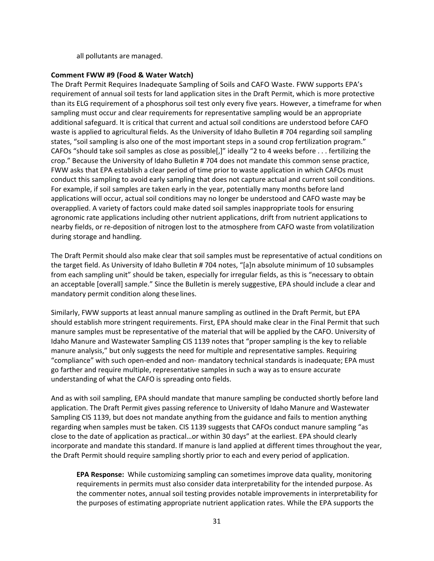all pollutants are managed.

## **Comment FWW #9 (Food & Water Watch)**

The Draft Permit Requires Inadequate Sampling of Soils and CAFO Waste. FWW supports EPA's requirement of annual soil tests for land application sites in the Draft Permit, which is more protective than its ELG requirement of a phosphorus soil test only every five years. However, a timeframe for when sampling must occur and clear requirements for representative sampling would be an appropriate additional safeguard. It is critical that current and actual soil conditions are understood before CAFO waste is applied to agricultural fields. As the University of Idaho Bulletin # 704 regarding soil sampling states, "soil sampling is also one of the most important steps in a sound crop fertilization program." CAFOs "should take soil samples as close as possible[,]" ideally "2 to 4 weeks before . . . fertilizing the crop." Because the University of Idaho Bulletin # 704 does not mandate this common sense practice, FWW asks that EPA establish a clear period of time prior to waste application in which CAFOs must conduct this sampling to avoid early sampling that does not capture actual and current soil conditions. For example, if soil samples are taken early in the year, potentially many months before land applications will occur, actual soil conditions may no longer be understood and CAFO waste may be overapplied. A variety of factors could make dated soil samples inappropriate tools for ensuring agronomic rate applications including other nutrient applications, drift from nutrient applications to nearby fields, or re-deposition of nitrogen lost to the atmosphere from CAFO waste from volatilization during storage and handling.

The Draft Permit should also make clear that soil samples must be representative of actual conditions on the target field. As University of Idaho Bulletin # 704 notes, "[a]n absolute minimum of 10 subsamples from each sampling unit" should be taken, especially for irregular fields, as this is "necessary to obtain an acceptable [overall] sample." Since the Bulletin is merely suggestive, EPA should include a clear and mandatory permit condition along theselines.

Similarly, FWW supports at least annual manure sampling as outlined in the Draft Permit, but EPA should establish more stringent requirements. First, EPA should make clear in the Final Permit that such manure samples must be representative of the material that will be applied by the CAFO. University of Idaho Manure and Wastewater Sampling CIS 1139 notes that "proper sampling is the key to reliable manure analysis," but only suggests the need for multiple and representative samples. Requiring "compliance" with such open-ended and non- mandatory technical standards is inadequate; EPA must go farther and require multiple, representative samples in such a way as to ensure accurate understanding of what the CAFO is spreading onto fields.

And as with soil sampling, EPA should mandate that manure sampling be conducted shortly before land application. The Draft Permit gives passing reference to University of Idaho Manure and Wastewater Sampling CIS 1139, but does not mandate anything from the guidance and fails to mention anything regarding when samples must be taken. CIS 1139 suggests that CAFOs conduct manure sampling "as close to the date of application as practical…or within 30 days" at the earliest. EPA should clearly incorporate and mandate this standard. If manure is land applied at different times throughout the year, the Draft Permit should require sampling shortly prior to each and every period of application.

**EPA Response:** While customizing sampling can sometimes improve data quality, monitoring requirements in permits must also consider data interpretability for the intended purpose. As the commenter notes, annual soil testing provides notable improvements in interpretability for the purposes of estimating appropriate nutrient application rates. While the EPA supports the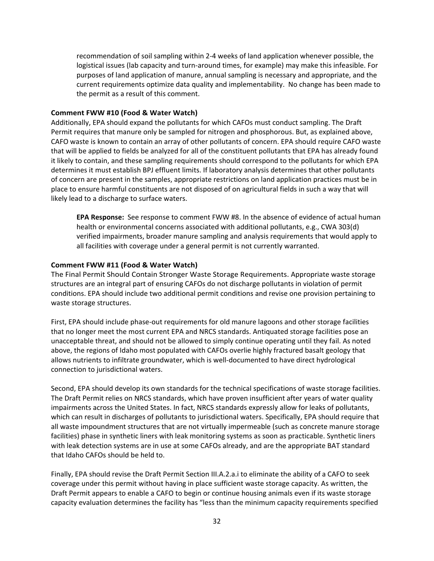recommendation of soil sampling within 2-4 weeks of land application whenever possible, the logistical issues (lab capacity and turn-around times, for example) may make this infeasible. For purposes of land application of manure, annual sampling is necessary and appropriate, and the current requirements optimize data quality and implementability. No change has been made to the permit as a result of this comment.

## **Comment FWW #10 (Food & Water Watch)**

Additionally, EPA should expand the pollutants for which CAFOs must conduct sampling. The Draft Permit requires that manure only be sampled for nitrogen and phosphorous. But, as explained above, CAFO waste is known to contain an array of other pollutants of concern. EPA should require CAFO waste that will be applied to fields be analyzed for all of the constituent pollutants that EPA has already found it likely to contain, and these sampling requirements should correspond to the pollutants for which EPA determines it must establish BPJ effluent limits. If laboratory analysis determines that other pollutants of concern are present in the samples, appropriate restrictions on land application practices must be in place to ensure harmful constituents are not disposed of on agricultural fields in such a way that will likely lead to a discharge to surface waters.

**EPA Response:** See response to comment FWW #8. In the absence of evidence of actual human health or environmental concerns associated with additional pollutants, e.g., CWA 303(d) verified impairments, broader manure sampling and analysis requirements that would apply to all facilities with coverage under a general permit is not currently warranted.

### **Comment FWW #11 (Food & Water Watch)**

The Final Permit Should Contain Stronger Waste Storage Requirements. Appropriate waste storage structures are an integral part of ensuring CAFOs do not discharge pollutants in violation of permit conditions. EPA should include two additional permit conditions and revise one provision pertaining to waste storage structures.

First, EPA should include phase-out requirements for old manure lagoons and other storage facilities that no longer meet the most current EPA and NRCS standards. Antiquated storage facilities pose an unacceptable threat, and should not be allowed to simply continue operating until they fail. As noted above, the regions of Idaho most populated with CAFOs overlie highly fractured basalt geology that allows nutrients to infiltrate groundwater, which is well-documented to have direct hydrological connection to jurisdictional waters.

Second, EPA should develop its own standards for the technical specifications of waste storage facilities. The Draft Permit relies on NRCS standards, which have proven insufficient after years of water quality impairments across the United States. In fact, NRCS standards expressly allow for leaks of pollutants, which can result in discharges of pollutants to jurisdictional waters. Specifically, EPA should require that all waste impoundment structures that are not virtually impermeable (such as concrete manure storage facilities) phase in synthetic liners with leak monitoring systems as soon as practicable. Synthetic liners with leak detection systems are in use at some CAFOs already, and are the appropriate BAT standard that Idaho CAFOs should be held to.

Finally, EPA should revise the Draft Permit Section III.A.2.a.i to eliminate the ability of a CAFO to seek coverage under this permit without having in place sufficient waste storage capacity. As written, the Draft Permit appears to enable a CAFO to begin or continue housing animals even if its waste storage capacity evaluation determines the facility has "less than the minimum capacity requirements specified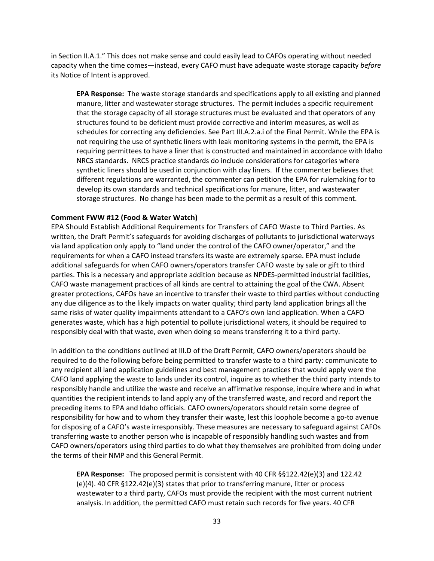in Section II.A.1." This does not make sense and could easily lead to CAFOs operating without needed capacity when the time comes—instead, every CAFO must have adequate waste storage capacity *before*  its Notice of Intent is approved.

**EPA Response:** The waste storage standards and specifications apply to all existing and planned manure, litter and wastewater storage structures. The permit includes a specific requirement that the storage capacity of all storage structures must be evaluated and that operators of any structures found to be deficient must provide corrective and interim measures, as well as schedules for correcting any deficiencies. See Part III.A.2.a.i of the Final Permit. While the EPA is not requiring the use of synthetic liners with leak monitoring systems in the permit, the EPA is requiring permittees to have a liner that is constructed and maintained in accordance with Idaho NRCS standards. NRCS practice standards do include considerations for categories where synthetic liners should be used in conjunction with clay liners. If the commenter believes that different regulations are warranted, the commenter can petition the EPA for rulemaking for to develop its own standards and technical specifications for manure, litter, and wastewater storage structures. No change has been made to the permit as a result of this comment.

#### **Comment FWW #12 (Food & Water Watch)**

EPA Should Establish Additional Requirements for Transfers of CAFO Waste to Third Parties. As written, the Draft Permit's safeguards for avoiding discharges of pollutants to jurisdictional waterways via land application only apply to "land under the control of the CAFO owner/operator," and the requirements for when a CAFO instead transfers its waste are extremely sparse. EPA must include additional safeguards for when CAFO owners/operators transfer CAFO waste by sale or gift to third parties. This is a necessary and appropriate addition because as NPDES-permitted industrial facilities, CAFO waste management practices of all kinds are central to attaining the goal of the CWA. Absent greater protections, CAFOs have an incentive to transfer their waste to third parties without conducting any due diligence as to the likely impacts on water quality; third party land application brings all the same risks of water quality impairments attendant to a CAFO's own land application. When a CAFO generates waste, which has a high potential to pollute jurisdictional waters, it should be required to responsibly deal with that waste, even when doing so means transferring it to a third party.

In addition to the conditions outlined at III.D of the Draft Permit, CAFO owners/operators should be required to do the following before being permitted to transfer waste to a third party: communicate to any recipient all land application guidelines and best management practices that would apply were the CAFO land applying the waste to lands under its control, inquire as to whether the third party intends to responsibly handle and utilize the waste and receive an affirmative response, inquire where and in what quantities the recipient intends to land apply any of the transferred waste, and record and report the preceding items to EPA and Idaho officials. CAFO owners/operators should retain some degree of responsibility for how and to whom they transfer their waste, lest this loophole become a go-to avenue for disposing of a CAFO's waste irresponsibly. These measures are necessary to safeguard against CAFOs transferring waste to another person who is incapable of responsibly handling such wastes and from CAFO owners/operators using third parties to do what they themselves are prohibited from doing under the terms of their NMP and this General Permit.

**EPA Response:** The proposed permit is consistent with 40 CFR §§122.42(e)(3) and 122.42 (e)(4). 40 CFR §122.42(e)(3) states that prior to transferring manure, litter or process wastewater to a third party, CAFOs must provide the recipient with the most current nutrient analysis. In addition, the permitted CAFO must retain such records for five years. 40 CFR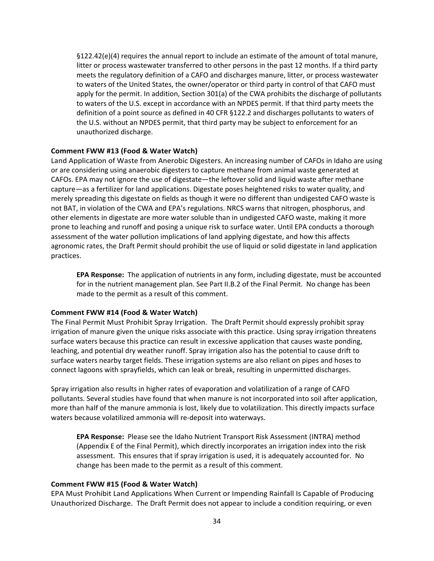§122.42(e)(4) requires the annual report to include an estimate of the amount of total manure, litter or process wastewater transferred to other persons in the past 12 months. If a third party meets the regulatory definition of a CAFO and discharges manure, litter, or process wastewater to waters of the United States, the owner/operator or third party in control of that CAFO must apply for the permit. In addition, Section 301(a) of the CWA prohibits the discharge of pollutants to waters of the U.S. except in accordance with an NPDES permit. If that third party meets the definition of a point source as defined in 40 CFR §122.2 and discharges pollutants to waters of the U.S. without an NPDES permit, that third party may be subject to enforcement for an unauthorized discharge.

### **Comment FWW #13 (Food & Water Watch)**

Land Application of Waste from Anerobic Digesters. An increasing number of CAFOs in Idaho are using or are considering using anaerobic digesters to capture methane from animal waste generated at CAFOs. EPA may not ignore the use of digestate—the leftover solid and liquid waste after methane capture—as a fertilizer for land applications. Digestate poses heightened risks to water quality, and merely spreading this digestate on fields as though it were no different than undigested CAFO waste is not BAT, in violation of the CWA and EPA's regulations. NRCS warns that nitrogen, phosphorus, and other elements in digestate are more water soluble than in undigested CAFO waste, making it more prone to leaching and runoff and posing a unique risk to surface water. Until EPA conducts a thorough assessment of the water pollution implications of land applying digestate, and how this affects agronomic rates, the Draft Permit should prohibit the use of liquid or solid digestate in land application practices.

**EPA Response:** The application of nutrients in any form, including digestate, must be accounted for in the nutrient management plan. See Part II.B.2 of the Final Permit. No change has been made to the permit as a result of this comment.

## **Comment FWW #14 (Food & Water Watch)**

The Final Permit Must Prohibit Spray Irrigation. The Draft Permit should expressly prohibit spray irrigation of manure given the unique risks associate with this practice. Using spray irrigation threatens surface waters because this practice can result in excessive application that causes waste ponding, leaching, and potential dry weather runoff. Spray irrigation also has the potential to cause drift to surface waters nearby target fields. These irrigation systems are also reliant on pipes and hoses to connect lagoons with sprayfields, which can leak or break, resulting in unpermitted discharges.

Spray irrigation also results in higher rates of evaporation and volatilization of a range of CAFO pollutants. Several studies have found that when manure is not incorporated into soil after application, more than half of the manure ammonia is lost, likely due to volatilization. This directly impacts surface waters because volatilized ammonia will re-deposit into waterways.

**EPA Response:** Please see the Idaho Nutrient Transport Risk Assessment (INTRA) method (Appendix E of the Final Permit), which directly incorporates an irrigation index into the risk assessment. This ensures that if spray irrigation is used, it is adequately accounted for. No change has been made to the permit as a result of this comment.

#### **Comment FWW #15 (Food & Water Watch)**

EPA Must Prohibit Land Applications When Current or Impending Rainfall Is Capable of Producing Unauthorized Discharge. The Draft Permit does not appear to include a condition requiring, or even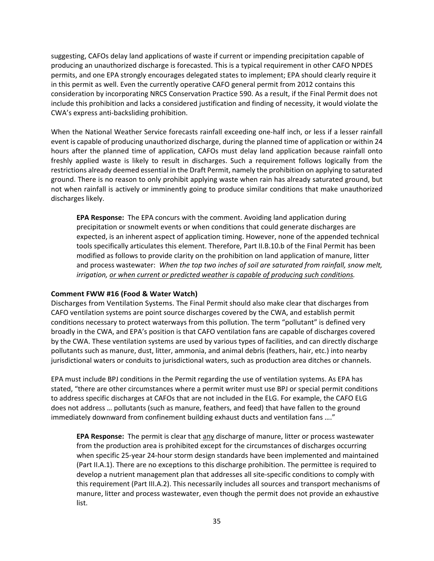suggesting, CAFOs delay land applications of waste if current or impending precipitation capable of producing an unauthorized discharge is forecasted. This is a typical requirement in other CAFO NPDES permits, and one EPA strongly encourages delegated states to implement; EPA should clearly require it in this permit as well. Even the currently operative CAFO general permit from 2012 contains this consideration by incorporating NRCS Conservation Practice 590. As a result, if the Final Permit does not include this prohibition and lacks a considered justification and finding of necessity, it would violate the CWA's express anti-backsliding prohibition.

When the National Weather Service forecasts rainfall exceeding one-half inch, or less if a lesser rainfall event is capable of producing unauthorized discharge, during the planned time of application or within 24 hours after the planned time of application, CAFOs must delay land application because rainfall onto freshly applied waste is likely to result in discharges. Such a requirement follows logically from the restrictions already deemed essential in the Draft Permit, namely the prohibition on applying to saturated ground. There is no reason to only prohibit applying waste when rain has already saturated ground, but not when rainfall is actively or imminently going to produce similar conditions that make unauthorized discharges likely.

**EPA Response:** The EPA concurs with the comment. Avoiding land application during precipitation or snowmelt events or when conditions that could generate discharges are expected, is an inherent aspect of application timing. However, none of the appended technical tools specifically articulates this element. Therefore, Part II.B.10.b of the Final Permit has been modified as follows to provide clarity on the prohibition on land application of manure, litter and process wastewater: *When the top two inches of soil are saturated from rainfall, snow melt, irrigation, or when current or predicted weather is capable of producing such conditions.*

## **Comment FWW #16 (Food & Water Watch)**

Discharges from Ventilation Systems. The Final Permit should also make clear that discharges from CAFO ventilation systems are point source discharges covered by the CWA, and establish permit conditions necessary to protect waterways from this pollution. The term "pollutant" is defined very broadly in the CWA, and EPA's position is that CAFO ventilation fans are capable of discharges covered by the CWA. These ventilation systems are used by various types of facilities, and can directly discharge pollutants such as manure, dust, litter, ammonia, and animal debris (feathers, hair, etc.) into nearby jurisdictional waters or conduits to jurisdictional waters, such as production area ditches or channels.

EPA must include BPJ conditions in the Permit regarding the use of ventilation systems. As EPA has stated, "there are other circumstances where a permit writer must use BPJ or special permit conditions to address specific discharges at CAFOs that are not included in the ELG. For example, the CAFO ELG does not address … pollutants (such as manure, feathers, and feed) that have fallen to the ground immediately downward from confinement building exhaust ducts and ventilation fans …."

**EPA Response:** The permit is clear that any discharge of manure, litter or process wastewater from the production area is prohibited except for the circumstances of discharges occurring when specific 25-year 24-hour storm design standards have been implemented and maintained (Part II.A.1). There are no exceptions to this discharge prohibition. The permittee is required to develop a nutrient management plan that addresses all site-specific conditions to comply with this requirement (Part III.A.2). This necessarily includes all sources and transport mechanisms of manure, litter and process wastewater, even though the permit does not provide an exhaustive list.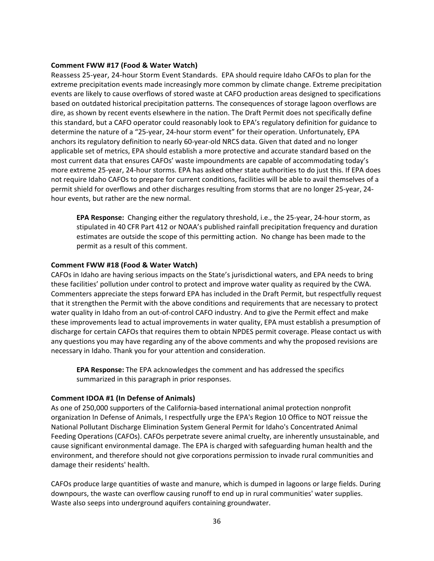### **Comment FWW #17 (Food & Water Watch)**

Reassess 25-year, 24-hour Storm Event Standards. EPA should require Idaho CAFOs to plan for the extreme precipitation events made increasingly more common by climate change. Extreme precipitation events are likely to cause overflows of stored waste at CAFO production areas designed to specifications based on outdated historical precipitation patterns. The consequences of storage lagoon overflows are dire, as shown by recent events elsewhere in the nation. The Draft Permit does not specifically define this standard, but a CAFO operator could reasonably look to EPA's regulatory definition for guidance to determine the nature of a "25-year, 24-hour storm event" for their operation. Unfortunately, EPA anchors its regulatory definition to nearly 60-year-old NRCS data. Given that dated and no longer applicable set of metrics, EPA should establish a more protective and accurate standard based on the most current data that ensures CAFOs' waste impoundments are capable of accommodating today's more extreme 25-year, 24-hour storms. EPA has asked other state authorities to do just this. If EPA does not require Idaho CAFOs to prepare for current conditions, facilities will be able to avail themselves of a permit shield for overflows and other discharges resulting from storms that are no longer 25-year, 24 hour events, but rather are the new normal.

**EPA Response:** Changing either the regulatory threshold, i.e., the 25-year, 24-hour storm, as stipulated in 40 CFR Part 412 or NOAA's published rainfall precipitation frequency and duration estimates are outside the scope of this permitting action. No change has been made to the permit as a result of this comment.

### **Comment FWW #18 (Food & Water Watch)**

CAFOs in Idaho are having serious impacts on the State's jurisdictional waters, and EPA needs to bring these facilities' pollution under control to protect and improve water quality as required by the CWA. Commenters appreciate the steps forward EPA has included in the Draft Permit, but respectfully request that it strengthen the Permit with the above conditions and requirements that are necessary to protect water quality in Idaho from an out-of-control CAFO industry. And to give the Permit effect and make these improvements lead to actual improvements in water quality, EPA must establish a presumption of discharge for certain CAFOs that requires them to obtain NPDES permit coverage. Please contact us with any questions you may have regarding any of the above comments and why the proposed revisions are necessary in Idaho. Thank you for your attention and consideration.

**EPA Response:** The EPA acknowledges the comment and has addressed the specifics summarized in this paragraph in prior responses.

## <span id="page-35-0"></span>**Comment IDOA #1 (In Defense of Animals)**

As one of 250,000 supporters of the California-based international animal protection nonprofit organization In Defense of Animals, I respectfully urge the EPA's Region 10 Office to NOT reissue the National Pollutant Discharge Elimination System General Permit for Idaho's Concentrated Animal Feeding Operations (CAFOs). CAFOs perpetrate severe animal cruelty, are inherently unsustainable, and cause significant environmental damage. The EPA is charged with safeguarding human health and the environment, and therefore should not give corporations permission to invade rural communities and damage their residents' health.

CAFOs produce large quantities of waste and manure, which is dumped in lagoons or large fields. During downpours, the waste can overflow causing runoff to end up in rural communities' water supplies. Waste also seeps into underground aquifers containing groundwater.